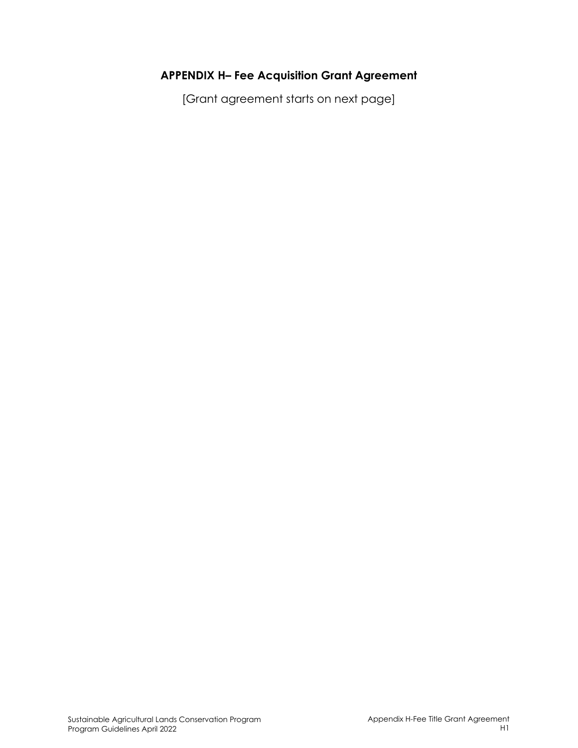# **APPENDIX H– Fee Acquisition Grant Agreement**

[Grant agreement starts on next page]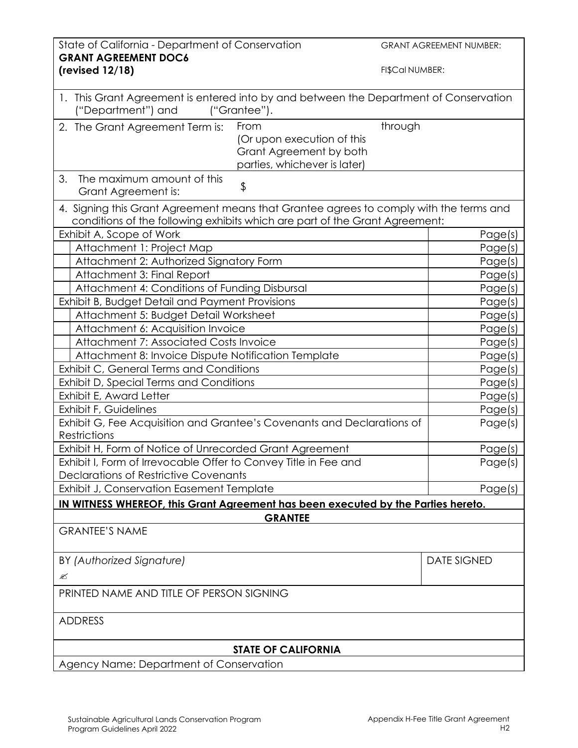| State of California - Department of Conservation                                                                                                                      |                                                       | <b>GRANT AGREEMENT NUMBER:</b> |  |
|-----------------------------------------------------------------------------------------------------------------------------------------------------------------------|-------------------------------------------------------|--------------------------------|--|
| <b>GRANT AGREEMENT DOC6</b><br>(revised 12/18)                                                                                                                        |                                                       | FI\$Cal NUMBER:                |  |
|                                                                                                                                                                       |                                                       |                                |  |
| 1. This Grant Agreement is entered into by and between the Department of Conservation<br>("Department") and                                                           | ("Grantee").                                          |                                |  |
| 2. The Grant Agreement Term is:                                                                                                                                       | From                                                  | through                        |  |
|                                                                                                                                                                       | (Or upon execution of this<br>Grant Agreement by both |                                |  |
|                                                                                                                                                                       | parties, whichever is later)                          |                                |  |
| 3.<br>The maximum amount of this<br>Grant Agreement is:                                                                                                               | \$                                                    |                                |  |
| 4. Signing this Grant Agreement means that Grantee agrees to comply with the terms and<br>conditions of the following exhibits which are part of the Grant Agreement: |                                                       |                                |  |
| Exhibit A, Scope of Work                                                                                                                                              |                                                       | Page(s)                        |  |
| Attachment 1: Project Map                                                                                                                                             |                                                       | Page(s)                        |  |
| Attachment 2: Authorized Signatory Form                                                                                                                               |                                                       | Page(s)                        |  |
| Attachment 3: Final Report                                                                                                                                            |                                                       | Page(s)                        |  |
| Attachment 4: Conditions of Funding Disbursal<br>Exhibit B, Budget Detail and Payment Provisions                                                                      |                                                       | Page(s)<br>Page(s)             |  |
| Attachment 5: Budget Detail Worksheet                                                                                                                                 |                                                       | Page(s)                        |  |
| Attachment 6: Acquisition Invoice                                                                                                                                     |                                                       | Page(s)                        |  |
| Attachment 7: Associated Costs Invoice                                                                                                                                |                                                       | Page(s)                        |  |
| Attachment 8: Invoice Dispute Notification Template                                                                                                                   |                                                       | Page(s)                        |  |
| Exhibit C, General Terms and Conditions                                                                                                                               |                                                       | Page(s)                        |  |
| Exhibit D, Special Terms and Conditions<br>Exhibit E, Award Letter                                                                                                    |                                                       | Page(s)                        |  |
| Exhibit F, Guidelines                                                                                                                                                 |                                                       | Page(s)<br>Page(s)             |  |
| Exhibit G, Fee Acquisition and Grantee's Covenants and Declarations of                                                                                                | Page(s)                                               |                                |  |
| Restrictions                                                                                                                                                          |                                                       |                                |  |
| Exhibit H, Form of Notice of Unrecorded Grant Agreement                                                                                                               |                                                       | Page(s)                        |  |
| Exhibit I, Form of Irrevocable Offer to Convey Title in Fee and                                                                                                       |                                                       | Page(s)                        |  |
| Declarations of Restrictive Covenants                                                                                                                                 |                                                       |                                |  |
| Exhibit J, Conservation Easement Template                                                                                                                             |                                                       | Page(s)                        |  |
| IN WITNESS WHEREOF, this Grant Agreement has been executed by the Parties hereto.                                                                                     |                                                       |                                |  |
| <b>GRANTEE</b><br><b>GRANTEE'S NAME</b>                                                                                                                               |                                                       |                                |  |
|                                                                                                                                                                       |                                                       |                                |  |
| BY (Authorized Signature)                                                                                                                                             |                                                       | <b>DATE SIGNED</b>             |  |
| ≤                                                                                                                                                                     |                                                       |                                |  |
| PRINTED NAME AND TITLE OF PERSON SIGNING                                                                                                                              |                                                       |                                |  |
| <b>ADDRESS</b>                                                                                                                                                        |                                                       |                                |  |
| <b>STATE OF CALIFORNIA</b>                                                                                                                                            |                                                       |                                |  |
| Agency Name: Department of Conservation                                                                                                                               |                                                       |                                |  |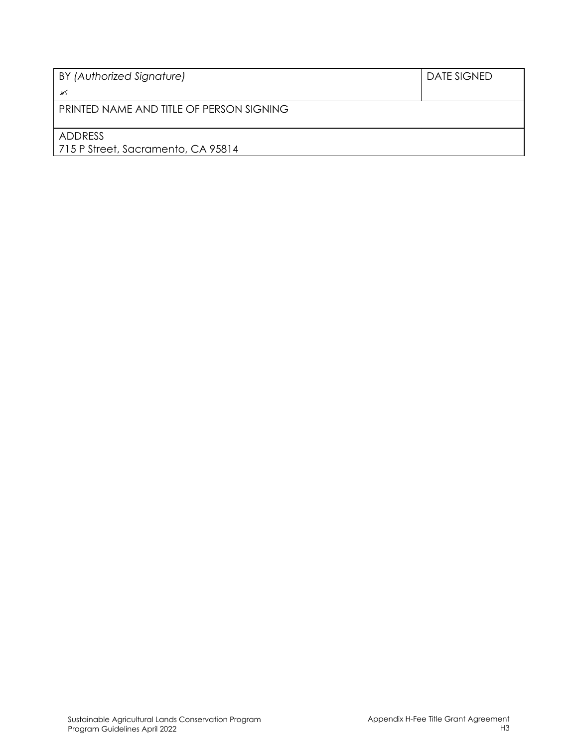| BY (Authorized Signature)                | <b>DATE SIGNED</b> |  |  |  |
|------------------------------------------|--------------------|--|--|--|
| ≤                                        |                    |  |  |  |
| PRINTED NAME AND TITLE OF PERSON SIGNING |                    |  |  |  |
|                                          |                    |  |  |  |
| ADDRESS                                  |                    |  |  |  |
| 715 P Street, Sacramento, CA 95814       |                    |  |  |  |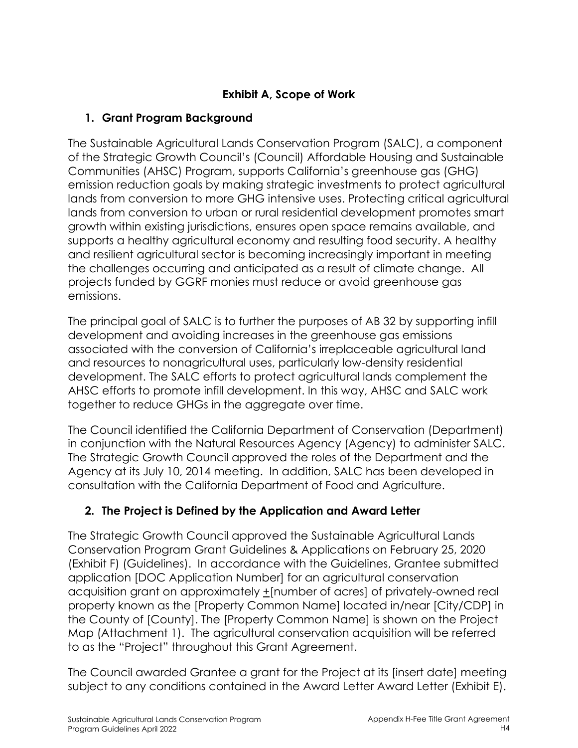# **Exhibit A, Scope of Work**

# **1. Grant Program Background**

The Sustainable Agricultural Lands Conservation Program (SALC), a component of the Strategic Growth Council's (Council) Affordable Housing and Sustainable Communities (AHSC) Program, supports California's greenhouse gas (GHG) emission reduction goals by making strategic investments to protect agricultural lands from conversion to more GHG intensive uses. Protecting critical agricultural lands from conversion to urban or rural residential development promotes smart growth within existing jurisdictions, ensures open space remains available, and supports a healthy agricultural economy and resulting food security. A healthy and resilient agricultural sector is becoming increasingly important in meeting the challenges occurring and anticipated as a result of climate change. All projects funded by GGRF monies must reduce or avoid greenhouse gas emissions.

The principal goal of SALC is to further the purposes of AB 32 by supporting infill development and avoiding increases in the greenhouse gas emissions associated with the conversion of California's irreplaceable agricultural land and resources to nonagricultural uses, particularly low-density residential development. The SALC efforts to protect agricultural lands complement the AHSC efforts to promote infill development. In this way, AHSC and SALC work together to reduce GHGs in the aggregate over time.

The Council identified the California Department of Conservation (Department) in conjunction with the Natural Resources Agency (Agency) to administer SALC. The Strategic Growth Council approved the roles of the Department and the Agency at its July 10, 2014 meeting. In addition, SALC has been developed in consultation with the California Department of Food and Agriculture.

# **2. The Project is Defined by the Application and Award Letter**

The Strategic Growth Council approved the Sustainable Agricultural Lands Conservation Program Grant Guidelines & Applications on February 25, 2020 (Exhibit F) (Guidelines). In accordance with the Guidelines, Grantee submitted application [DOC Application Number] for an agricultural conservation acquisition grant on approximately +[number of acres] of privately-owned real property known as the [Property Common Name] located in/near [City/CDP] in the County of [County]. The [Property Common Name] is shown on the Project Map (Attachment 1). The agricultural conservation acquisition will be referred to as the "Project" throughout this Grant Agreement.

The Council awarded Grantee a grant for the Project at its [insert date] meeting subject to any conditions contained in the Award Letter Award Letter (Exhibit E).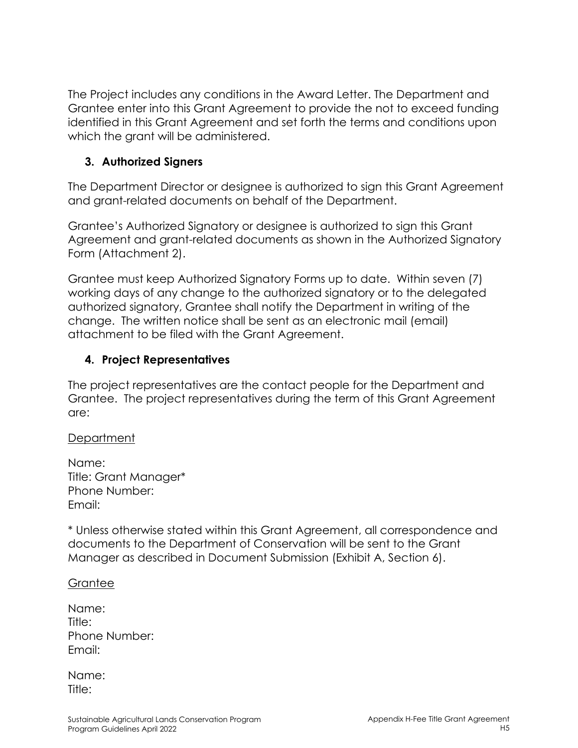The Project includes any conditions in the Award Letter. The Department and Grantee enter into this Grant Agreement to provide the not to exceed funding identified in this Grant Agreement and set forth the terms and conditions upon which the grant will be administered.

## **3. Authorized Signers**

The Department Director or designee is authorized to sign this Grant Agreement and grant-related documents on behalf of the Department.

Grantee's Authorized Signatory or designee is authorized to sign this Grant Agreement and grant-related documents as shown in the Authorized Signatory Form (Attachment 2).

Grantee must keep Authorized Signatory Forms up to date. Within seven (7) working days of any change to the authorized signatory or to the delegated authorized signatory, Grantee shall notify the Department in writing of the change. The written notice shall be sent as an electronic mail (email) attachment to be filed with the Grant Agreement.

## **4. Project Representatives**

The project representatives are the contact people for the Department and Grantee. The project representatives during the term of this Grant Agreement are:

**Department** 

Name: Title: Grant Manager\* Phone Number: Email:

\* Unless otherwise stated within this Grant Agreement, all correspondence and documents to the Department of Conservation will be sent to the Grant Manager as described in Document Submission (Exhibit A, Section 6).

### **Grantee**

| Name:         |
|---------------|
| Title:        |
| Phone Number: |
| Email:        |

Name: Title: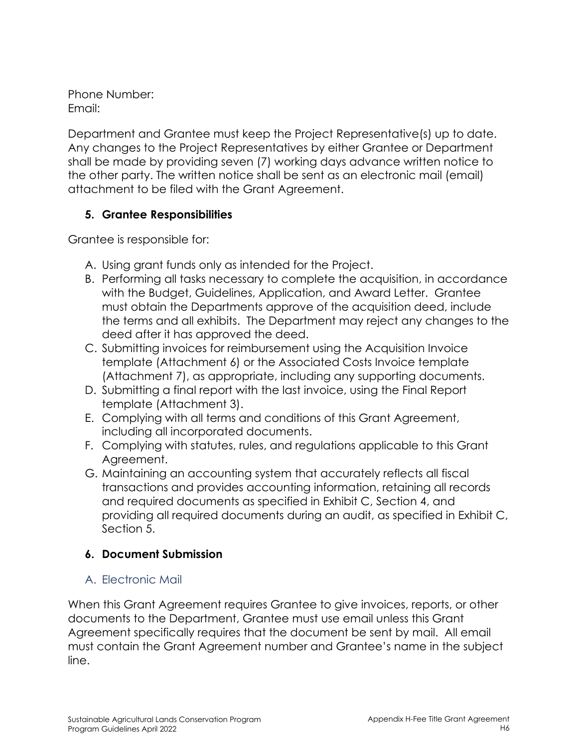Phone Number: Email:

Department and Grantee must keep the Project Representative(s) up to date. Any changes to the Project Representatives by either Grantee or Department shall be made by providing seven (7) working days advance written notice to the other party. The written notice shall be sent as an electronic mail (email) attachment to be filed with the Grant Agreement.

## **5. Grantee Responsibilities**

Grantee is responsible for:

- A. Using grant funds only as intended for the Project.
- B. Performing all tasks necessary to complete the acquisition, in accordance with the Budget, Guidelines, Application, and Award Letter. Grantee must obtain the Departments approve of the acquisition deed, include the terms and all exhibits. The Department may reject any changes to the deed after it has approved the deed.
- C. Submitting invoices for reimbursement using the Acquisition Invoice template (Attachment 6) or the Associated Costs Invoice template (Attachment 7), as appropriate, including any supporting documents.
- D. Submitting a final report with the last invoice, using the Final Report template (Attachment 3).
- E. Complying with all terms and conditions of this Grant Agreement, including all incorporated documents.
- F. Complying with statutes, rules, and regulations applicable to this Grant Agreement.
- G. Maintaining an accounting system that accurately reflects all fiscal transactions and provides accounting information, retaining all records and required documents as specified in Exhibit C, Section 4, and providing all required documents during an audit, as specified in Exhibit C, Section 5.

# **6. Document Submission**

A. Electronic Mail

When this Grant Agreement requires Grantee to give invoices, reports, or other documents to the Department, Grantee must use email unless this Grant Agreement specifically requires that the document be sent by mail. All email must contain the Grant Agreement number and Grantee's name in the subject line.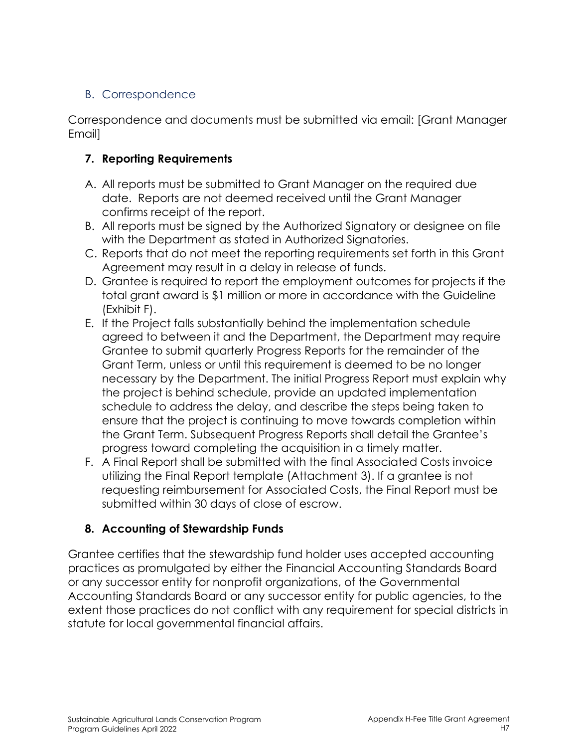# B. Correspondence

Correspondence and documents must be submitted via email: [Grant Manager Email]

## **7. Reporting Requirements**

- A. All reports must be submitted to Grant Manager on the required due date. Reports are not deemed received until the Grant Manager confirms receipt of the report.
- B. All reports must be signed by the Authorized Signatory or designee on file with the Department as stated in Authorized Signatories.
- C. Reports that do not meet the reporting requirements set forth in this Grant Agreement may result in a delay in release of funds.
- D. Grantee is required to report the employment outcomes for projects if the total grant award is \$1 million or more in accordance with the Guideline (Exhibit F).
- E. If the Project falls substantially behind the implementation schedule agreed to between it and the Department, the Department may require Grantee to submit quarterly Progress Reports for the remainder of the Grant Term, unless or until this requirement is deemed to be no longer necessary by the Department. The initial Progress Report must explain why the project is behind schedule, provide an updated implementation schedule to address the delay, and describe the steps being taken to ensure that the project is continuing to move towards completion within the Grant Term. Subsequent Progress Reports shall detail the Grantee's progress toward completing the acquisition in a timely matter.
- F. A Final Report shall be submitted with the final Associated Costs invoice utilizing the Final Report template (Attachment 3). If a grantee is not requesting reimbursement for Associated Costs, the Final Report must be submitted within 30 days of close of escrow.

# **8. Accounting of Stewardship Funds**

Grantee certifies that the stewardship fund holder uses accepted accounting practices as promulgated by either the Financial Accounting Standards Board or any successor entity for nonprofit organizations, of the Governmental Accounting Standards Board or any successor entity for public agencies, to the extent those practices do not conflict with any requirement for special districts in statute for local governmental financial affairs.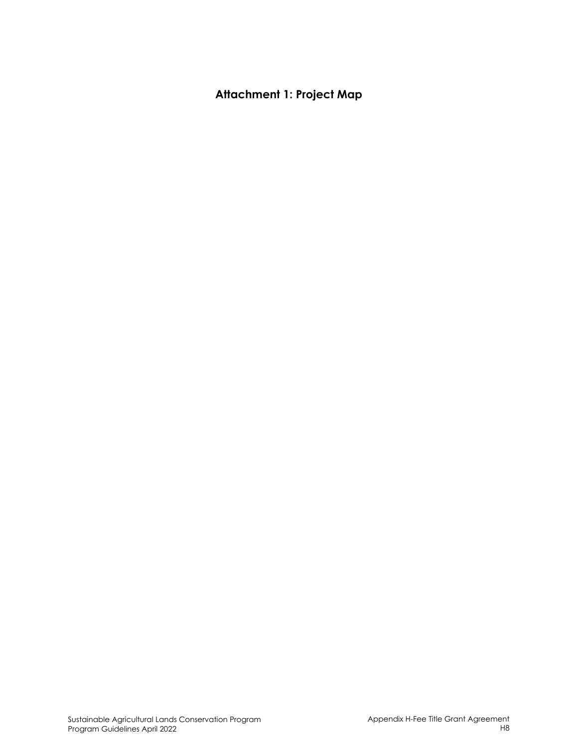# **Attachment 1: Project Map**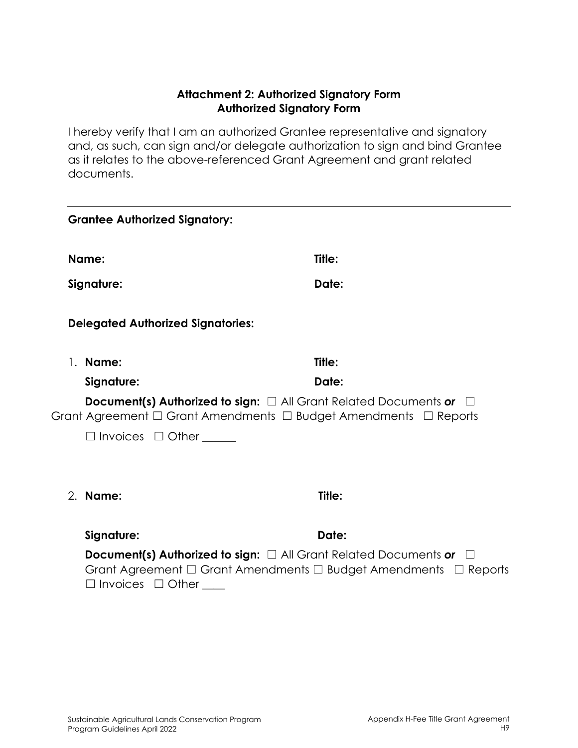#### **Attachment 2: Authorized Signatory Form Authorized Signatory Form**

I hereby verify that I am an authorized Grantee representative and signatory and, as such, can sign and/or delegate authorization to sign and bind Grantee as it relates to the above-referenced Grant Agreement and grant related documents.

| <b>Grantee Authorized Signatory:</b>     |                                                                                                                                                                          |
|------------------------------------------|--------------------------------------------------------------------------------------------------------------------------------------------------------------------------|
| Name:                                    | Title:                                                                                                                                                                   |
| Signature:                               | Date:                                                                                                                                                                    |
| <b>Delegated Authorized Signatories:</b> |                                                                                                                                                                          |
| 1. Name:                                 | Title:                                                                                                                                                                   |
| Signature:                               | Date:                                                                                                                                                                    |
|                                          | <b>Document(s) Authorized to sign:</b> $\Box$ All Grant Related Documents or<br>$\pm$<br>Grant Agreement $\Box$ Grant Amendments $\Box$ Budget Amendments $\Box$ Reports |
| $\Box$ Invoices $\Box$ Other             |                                                                                                                                                                          |
| 2. Name:                                 | Title:                                                                                                                                                                   |
| Signature:                               | Date:                                                                                                                                                                    |
| $\Box$ Invoices $\Box$ Other             | <b>Document(s) Authorized to sign:</b> $\Box$ All Grant Related Documents or $\Box$<br>Grant Agreement $\Box$ Grant Amendments $\Box$ Budget Amendments $\Box$ Reports   |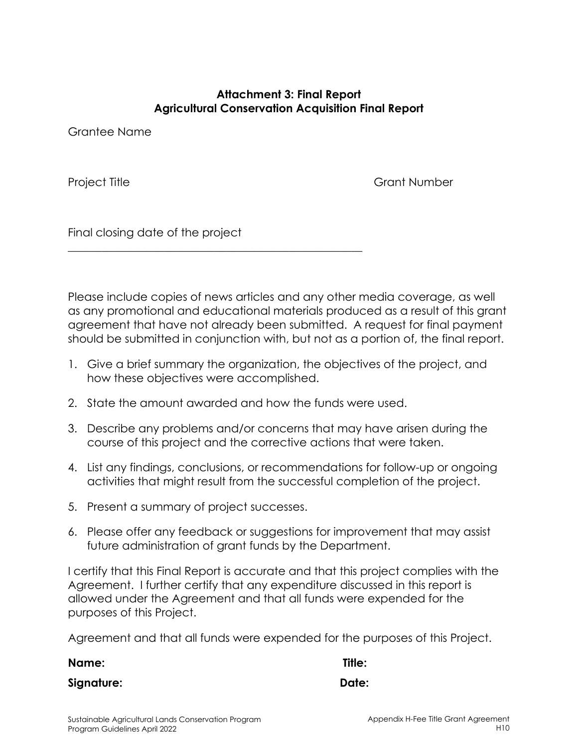#### **Attachment 3: Final Report Agricultural Conservation Acquisition Final Report**

Grantee Name

Project Title **Grant Number** 

Final closing date of the project

Please include copies of news articles and any other media coverage, as well as any promotional and educational materials produced as a result of this grant agreement that have not already been submitted. A request for final payment should be submitted in conjunction with, but not as a portion of, the final report.

- 1. Give a brief summary the organization, the objectives of the project, and how these objectives were accomplished.
- 2. State the amount awarded and how the funds were used.

\_\_\_\_\_\_\_\_\_\_\_\_\_\_\_\_\_\_\_\_\_\_\_\_\_\_\_\_\_\_\_\_\_\_\_\_\_\_\_\_\_\_\_\_\_\_\_\_\_\_\_\_

- 3. Describe any problems and/or concerns that may have arisen during the course of this project and the corrective actions that were taken.
- 4. List any findings, conclusions, or recommendations for follow-up or ongoing activities that might result from the successful completion of the project.
- 5. Present a summary of project successes.
- 6. Please offer any feedback or suggestions for improvement that may assist future administration of grant funds by the Department.

I certify that this Final Report is accurate and that this project complies with the Agreement. I further certify that any expenditure discussed in this report is allowed under the Agreement and that all funds were expended for the purposes of this Project.

Agreement and that all funds were expended for the purposes of this Project.

**Name: Title:** 

**Signature: Date:**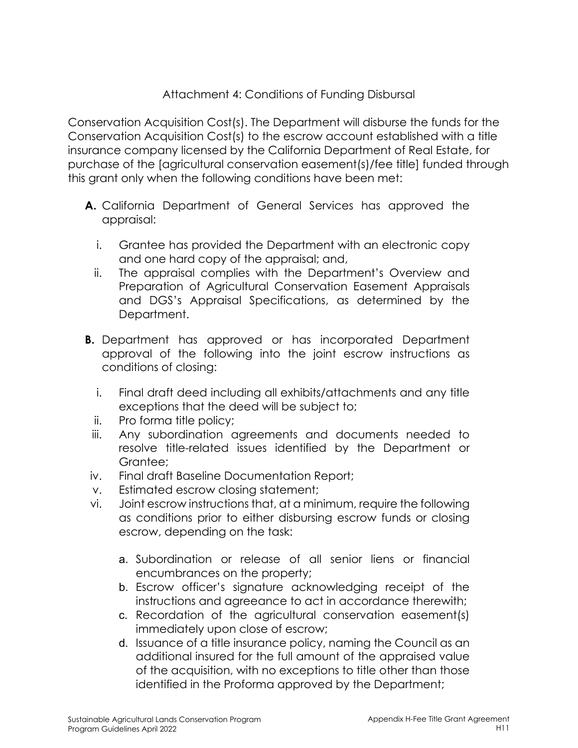### Attachment 4: Conditions of Funding Disbursal

Conservation Acquisition Cost(s). The Department will disburse the funds for the Conservation Acquisition Cost(s) to the escrow account established with a title insurance company licensed by the California Department of Real Estate, for purchase of the [agricultural conservation easement(s)/fee title] funded through this grant only when the following conditions have been met:

- **A.** California Department of General Services has approved the appraisal:
	- i. Grantee has provided the Department with an electronic copy and one hard copy of the appraisal; and,
	- ii. The appraisal complies with the Department's Overview and Preparation of Agricultural Conservation Easement Appraisals and DGS's Appraisal Specifications, as determined by the Department.
- **B.** Department has approved or has incorporated Department approval of the following into the joint escrow instructions as conditions of closing:
	- i. Final draft deed including all exhibits/attachments and any title exceptions that the deed will be subject to;
	- ii. Pro forma title policy;
	- iii. Any subordination agreements and documents needed to resolve title-related issues identified by the Department or Grantee;
- iv. Final draft Baseline Documentation Report;
- v. Estimated escrow closing statement;
- vi. Joint escrow instructions that, at a minimum, require the following as conditions prior to either disbursing escrow funds or closing escrow, depending on the task:
	- a. Subordination or release of all senior liens or financial encumbrances on the property;
	- b. Escrow officer's signature acknowledging receipt of the instructions and agreeance to act in accordance therewith;
	- c. Recordation of the agricultural conservation easement(s) immediately upon close of escrow;
	- d. Issuance of a title insurance policy, naming the Council as an additional insured for the full amount of the appraised value of the acquisition, with no exceptions to title other than those identified in the Proforma approved by the Department;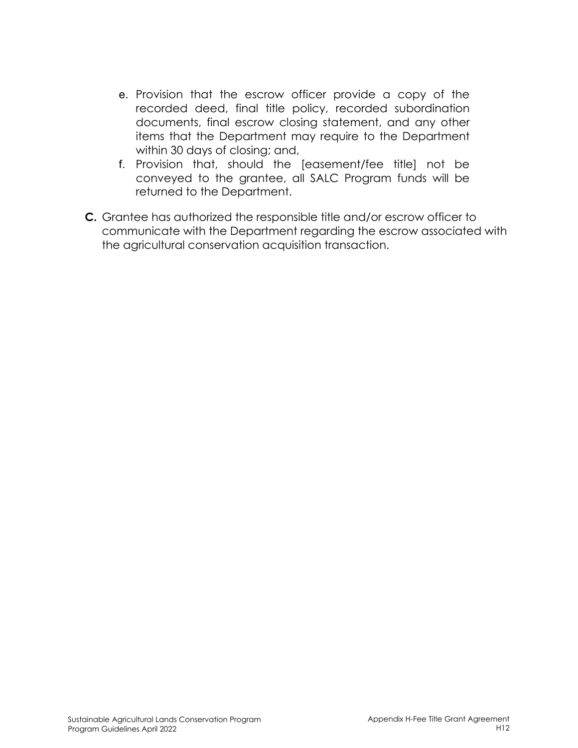- e. Provision that the escrow officer provide a copy of the recorded deed, final title policy, recorded subordination documents, final escrow closing statement, and any other items that the Department may require to the Department within 30 days of closing; and,
- f. Provision that, should the [easement/fee title] not be conveyed to the grantee, all SALC Program funds will be returned to the Department.
- **C.** Grantee has authorized the responsible title and/or escrow officer to communicate with the Department regarding the escrow associated with the agricultural conservation acquisition transaction.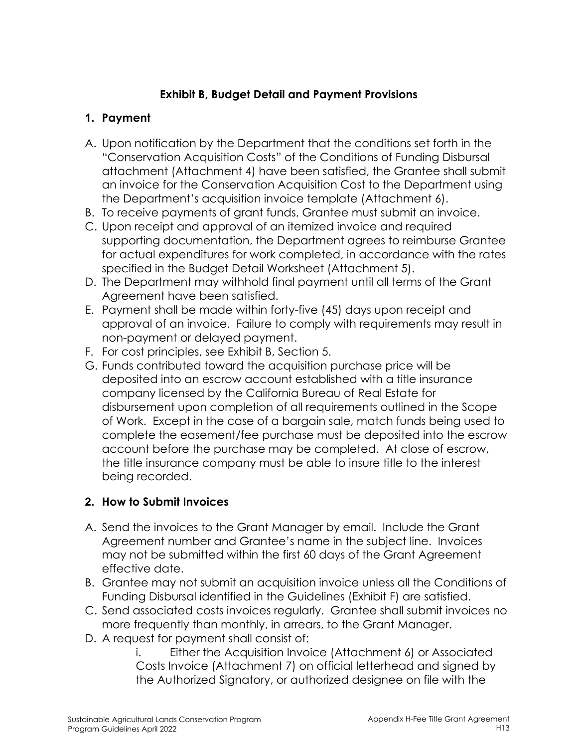## **Exhibit B, Budget Detail and Payment Provisions**

## **1. Payment**

- A. Upon notification by the Department that the conditions set forth in the "Conservation Acquisition Costs" of the Conditions of Funding Disbursal attachment (Attachment 4) have been satisfied, the Grantee shall submit an invoice for the Conservation Acquisition Cost to the Department using the Department's acquisition invoice template (Attachment 6).
- B. To receive payments of grant funds, Grantee must submit an invoice.
- C. Upon receipt and approval of an itemized invoice and required supporting documentation, the Department agrees to reimburse Grantee for actual expenditures for work completed, in accordance with the rates specified in the Budget Detail Worksheet (Attachment 5).
- D. The Department may withhold final payment until all terms of the Grant Agreement have been satisfied.
- E. Payment shall be made within forty-five (45) days upon receipt and approval of an invoice. Failure to comply with requirements may result in non-payment or delayed payment.
- F. For cost principles, see Exhibit B, Section 5.
- G. Funds contributed toward the acquisition purchase price will be deposited into an escrow account established with a title insurance company licensed by the California Bureau of Real Estate for disbursement upon completion of all requirements outlined in the Scope of Work. Except in the case of a bargain sale, match funds being used to complete the easement/fee purchase must be deposited into the escrow account before the purchase may be completed. At close of escrow, the title insurance company must be able to insure title to the interest being recorded.

# **2. How to Submit Invoices**

- A. Send the invoices to the Grant Manager by email. Include the Grant Agreement number and Grantee's name in the subject line. Invoices may not be submitted within the first 60 days of the Grant Agreement effective date.
- B. Grantee may not submit an acquisition invoice unless all the Conditions of Funding Disbursal identified in the Guidelines (Exhibit F) are satisfied.
- C. Send associated costs invoices regularly. Grantee shall submit invoices no more frequently than monthly, in arrears, to the Grant Manager.
- D. A request for payment shall consist of:

i. Either the Acquisition Invoice (Attachment 6) or Associated Costs Invoice (Attachment 7) on official letterhead and signed by the Authorized Signatory, or authorized designee on file with the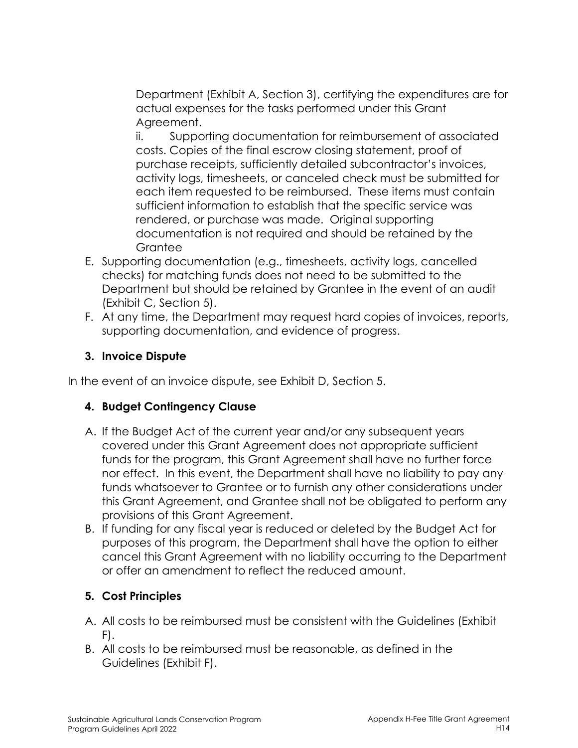Department (Exhibit A, Section 3), certifying the expenditures are for actual expenses for the tasks performed under this Grant Agreement.

ii. Supporting documentation for reimbursement of associated costs. Copies of the final escrow closing statement, proof of purchase receipts, sufficiently detailed subcontractor's invoices, activity logs, timesheets, or canceled check must be submitted for each item requested to be reimbursed. These items must contain sufficient information to establish that the specific service was rendered, or purchase was made. Original supporting documentation is not required and should be retained by the Grantee

- E. Supporting documentation (e.g., timesheets, activity logs, cancelled checks) for matching funds does not need to be submitted to the Department but should be retained by Grantee in the event of an audit (Exhibit C, Section 5).
- F. At any time, the Department may request hard copies of invoices, reports, supporting documentation, and evidence of progress.

## **3. Invoice Dispute**

In the event of an invoice dispute, see Exhibit D, Section 5.

### **4. Budget Contingency Clause**

- A. If the Budget Act of the current year and/or any subsequent years covered under this Grant Agreement does not appropriate sufficient funds for the program, this Grant Agreement shall have no further force nor effect. In this event, the Department shall have no liability to pay any funds whatsoever to Grantee or to furnish any other considerations under this Grant Agreement, and Grantee shall not be obligated to perform any provisions of this Grant Agreement.
- B. If funding for any fiscal year is reduced or deleted by the Budget Act for purposes of this program, the Department shall have the option to either cancel this Grant Agreement with no liability occurring to the Department or offer an amendment to reflect the reduced amount.

# **5. Cost Principles**

- A. All costs to be reimbursed must be consistent with the Guidelines (Exhibit F).
- B. All costs to be reimbursed must be reasonable, as defined in the Guidelines (Exhibit F).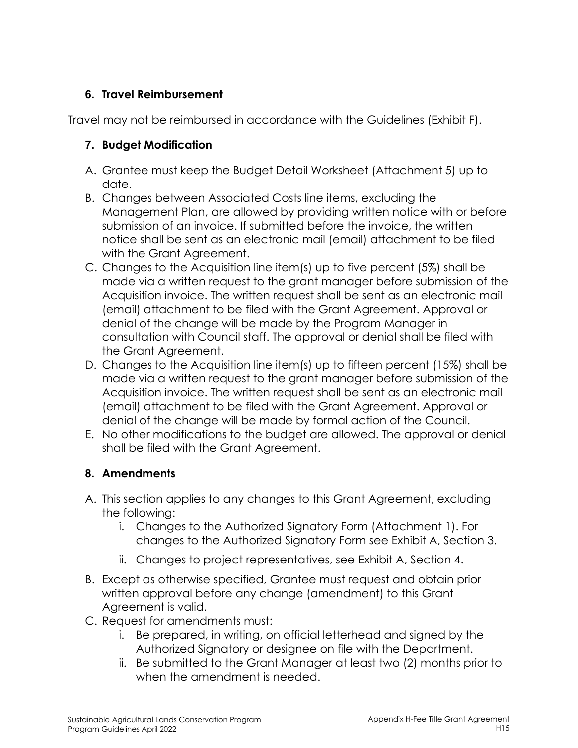## **6. Travel Reimbursement**

Travel may not be reimbursed in accordance with the Guidelines (Exhibit F).

# **7. Budget Modification**

- A. Grantee must keep the Budget Detail Worksheet (Attachment 5) up to date.
- B. Changes between Associated Costs line items, excluding the Management Plan, are allowed by providing written notice with or before submission of an invoice. If submitted before the invoice, the written notice shall be sent as an electronic mail (email) attachment to be filed with the Grant Agreement.
- C. Changes to the Acquisition line item(s) up to five percent (5%) shall be made via a written request to the grant manager before submission of the Acquisition invoice. The written request shall be sent as an electronic mail (email) attachment to be filed with the Grant Agreement. Approval or denial of the change will be made by the Program Manager in consultation with Council staff. The approval or denial shall be filed with the Grant Agreement.
- D. Changes to the Acquisition line item(s) up to fifteen percent (15%) shall be made via a written request to the grant manager before submission of the Acquisition invoice. The written request shall be sent as an electronic mail (email) attachment to be filed with the Grant Agreement. Approval or denial of the change will be made by formal action of the Council.
- E. No other modifications to the budget are allowed. The approval or denial shall be filed with the Grant Agreement.

# **8. Amendments**

- A. This section applies to any changes to this Grant Agreement, excluding the following:
	- i. Changes to the Authorized Signatory Form (Attachment 1). For changes to the Authorized Signatory Form see Exhibit A, Section 3.
	- ii. Changes to project representatives, see Exhibit A, Section 4.
- B. Except as otherwise specified, Grantee must request and obtain prior written approval before any change (amendment) to this Grant Agreement is valid.
- C. Request for amendments must:
	- i. Be prepared, in writing, on official letterhead and signed by the Authorized Signatory or designee on file with the Department.
	- ii. Be submitted to the Grant Manager at least two (2) months prior to when the amendment is needed.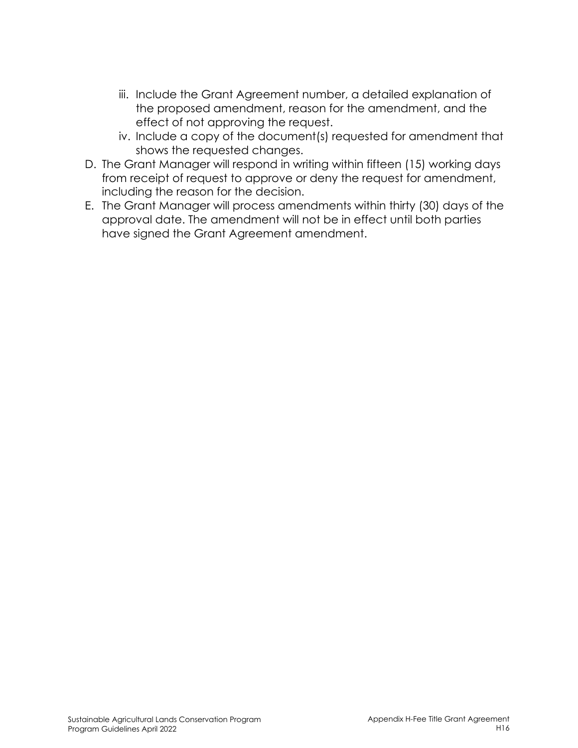- iii. Include the Grant Agreement number, a detailed explanation of the proposed amendment, reason for the amendment, and the effect of not approving the request.
- iv. Include a copy of the document(s) requested for amendment that shows the requested changes.
- D. The Grant Manager will respond in writing within fifteen (15) working days from receipt of request to approve or deny the request for amendment, including the reason for the decision.
- E. The Grant Manager will process amendments within thirty (30) days of the approval date. The amendment will not be in effect until both parties have signed the Grant Agreement amendment.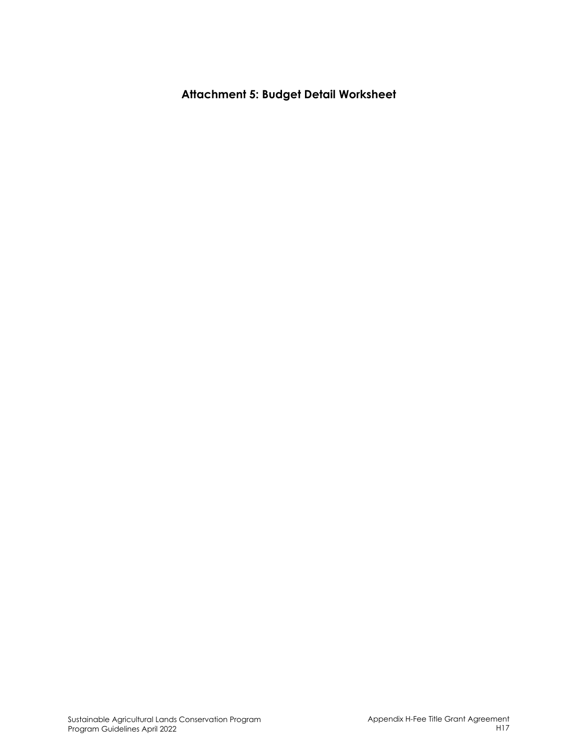**Attachment 5: Budget Detail Worksheet**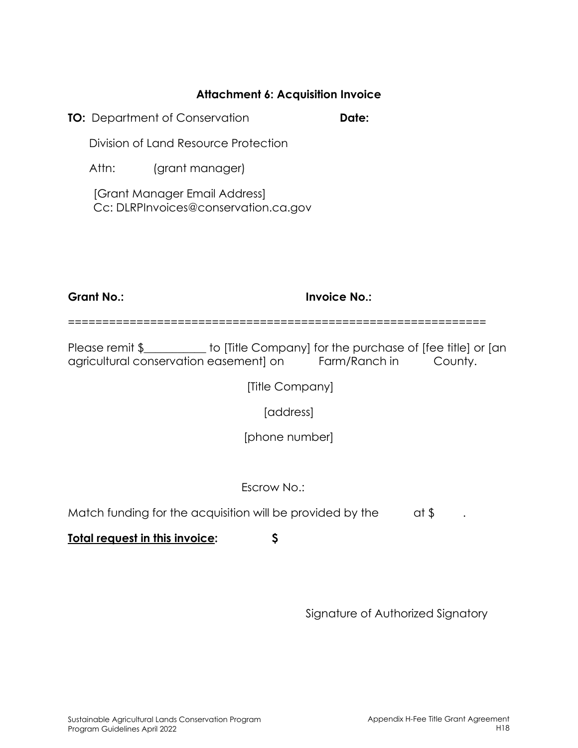#### **Attachment 6: Acquisition Invoice**

**TO:** Department of Conservation **Date:** 

Division of Land Resource Protection

Attn: (grant manager)

[Grant Manager Email Address] Cc: DLRPInvoices@conservation.ca.gov

**Grant No.: Invoice No.:** 

=============================================================

Please remit \$\_\_\_\_\_\_\_\_\_\_\_ to [Title Company] for the purchase of [fee title] or [an agricultural conservation easement] on Farm/Ranch in County.

[Title Company]

[address]

[phone number]

Escrow No.:

Match funding for the acquisition will be provided by the  $\qquad$  at \$

**Total request in this invoice: \$**

Signature of Authorized Signatory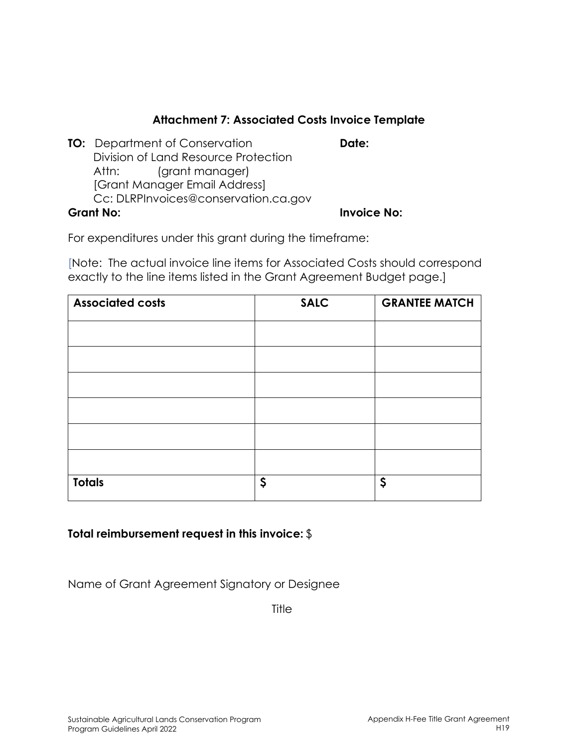### **Attachment 7: Associated Costs Invoice Template**

|                  | <b>TO:</b> Department of Conservation | Date:              |
|------------------|---------------------------------------|--------------------|
|                  | Division of Land Resource Protection  |                    |
|                  | Attn: (grant manager)                 |                    |
|                  | [Grant Manager Email Address]         |                    |
|                  | Cc: DLRPInvoices@conservation.ca.gov  |                    |
| <b>Grant No:</b> |                                       | <b>Invoice No:</b> |

For expenditures under this grant during the timeframe:

[Note: The actual invoice line items for Associated Costs should correspond exactly to the line items listed in the Grant Agreement Budget page.]

| <b>Associated costs</b> | <b>SALC</b> | <b>GRANTEE MATCH</b> |
|-------------------------|-------------|----------------------|
|                         |             |                      |
|                         |             |                      |
|                         |             |                      |
|                         |             |                      |
|                         |             |                      |
|                         |             |                      |
|                         |             |                      |
| <b>Totals</b>           | \$          | \$                   |

#### **Total reimbursement request in this invoice:** \$

Name of Grant Agreement Signatory or Designee

**Title**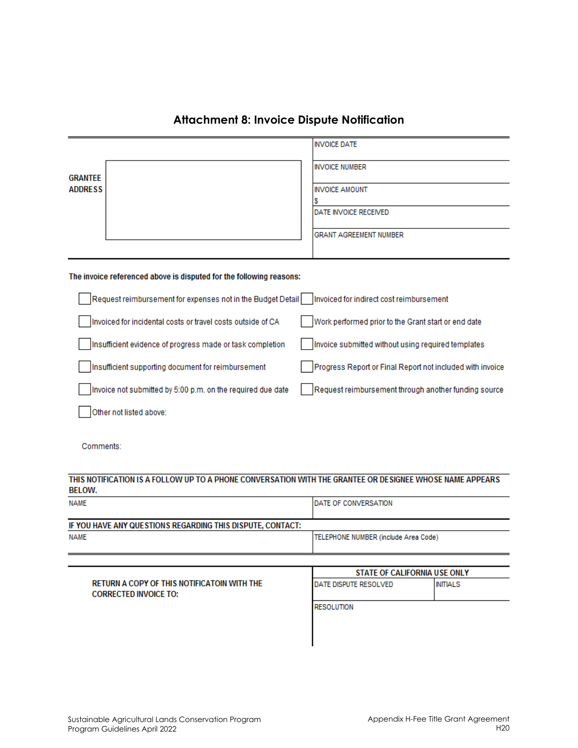|                                                                     | <b>INVOICE DATE</b>                                       |
|---------------------------------------------------------------------|-----------------------------------------------------------|
| <b>GRANTEE</b>                                                      | <b>INVOICE NUMBER</b>                                     |
| <b>ADDRESS</b>                                                      | <b>INVOICE AMOUNT</b>                                     |
|                                                                     | DATE INVOICE RECEIVED                                     |
|                                                                     | <b>GRANT AGREEMENT NUMBER</b>                             |
|                                                                     |                                                           |
| The invoice referenced above is disputed for the following reasons: |                                                           |
| Request reimbursement for expenses not in the Budget Detail         | Invoiced for indirect cost reimbursement                  |
| Invoiced for incidental costs or travel costs outside of CA         | Work performed prior to the Grant start or end date       |
| Insufficient evidence of progress made or task completion           | Invoice submitted without using required templates        |
| Insufficient supporting document for reimbursement                  | Progress Report or Final Report not included with invoice |
| Invoice not submitted by 5:00 p.m. on the required due date         | Request reimbursement through another funding source      |
| Other not listed above:                                             |                                                           |
|                                                                     |                                                           |

#### **Attachment 8: Invoice Dispute Notification**

Comments:

#### THIS NOTIFICATION IS A FOLLOW UP TO A PHONE CONVERSATION WITH THE GRANTEE OR DESIGNEE WHOSE NAME APPEARS **BELOW.**

| NAME                                                       | <b>IDATE OF CONVERSATION</b>         |
|------------------------------------------------------------|--------------------------------------|
| IF YOU HAVE ANY QUESTIONS REGARDING THIS DISPUTE, CONTACT: |                                      |
| NAME                                                       | TELEPHONE NUMBER (include Area Code) |

|                                                                             | <b>STATE OF CALIFORNIA USE ONLY</b> |                 |
|-----------------------------------------------------------------------------|-------------------------------------|-----------------|
| RETURN A COPY OF THIS NOTIFICATOIN WITH THE<br><b>CORRECTED INVOICE TO:</b> | DATE DISPUTE RESOLVED               | <b>INITIALS</b> |
|                                                                             | <b>RESOLUTION</b>                   |                 |
|                                                                             |                                     |                 |
|                                                                             |                                     |                 |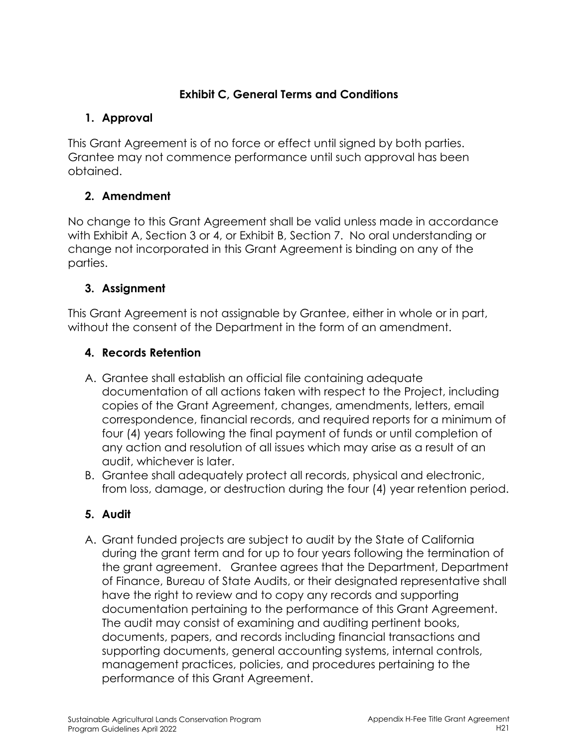## **Exhibit C, General Terms and Conditions**

# **1. Approval**

This Grant Agreement is of no force or effect until signed by both parties. Grantee may not commence performance until such approval has been obtained.

# **2. Amendment**

No change to this Grant Agreement shall be valid unless made in accordance with Exhibit A, Section 3 or 4, or Exhibit B, Section 7. No oral understanding or change not incorporated in this Grant Agreement is binding on any of the parties.

# **3. Assignment**

This Grant Agreement is not assignable by Grantee, either in whole or in part, without the consent of the Department in the form of an amendment.

# **4. Records Retention**

- A. Grantee shall establish an official file containing adequate documentation of all actions taken with respect to the Project, including copies of the Grant Agreement, changes, amendments, letters, email correspondence, financial records, and required reports for a minimum of four (4) years following the final payment of funds or until completion of any action and resolution of all issues which may arise as a result of an audit, whichever is later.
- B. Grantee shall adequately protect all records, physical and electronic, from loss, damage, or destruction during the four (4) year retention period.

# **5. Audit**

A. Grant funded projects are subject to audit by the State of California during the grant term and for up to four years following the termination of the grant agreement. Grantee agrees that the Department, Department of Finance, Bureau of State Audits, or their designated representative shall have the right to review and to copy any records and supporting documentation pertaining to the performance of this Grant Agreement. The audit may consist of examining and auditing pertinent books, documents, papers, and records including financial transactions and supporting documents, general accounting systems, internal controls, management practices, policies, and procedures pertaining to the performance of this Grant Agreement.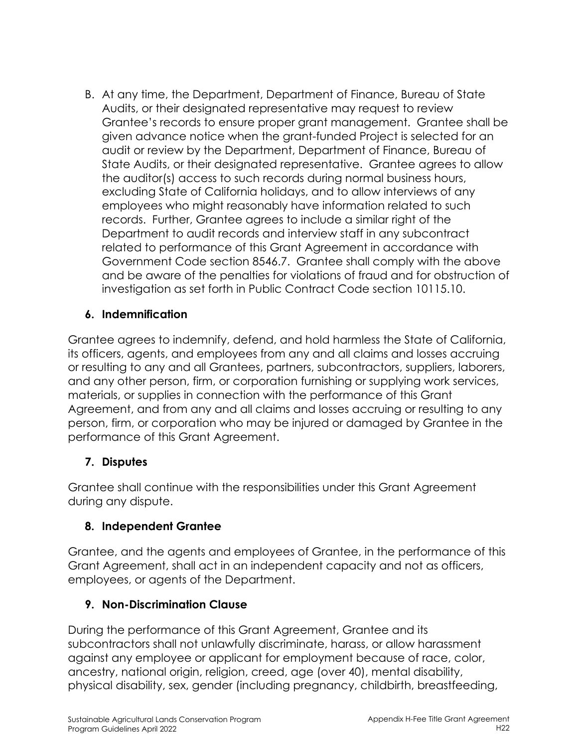B. At any time, the Department, Department of Finance, Bureau of State Audits, or their designated representative may request to review Grantee's records to ensure proper grant management. Grantee shall be given advance notice when the grant-funded Project is selected for an audit or review by the Department, Department of Finance, Bureau of State Audits, or their designated representative. Grantee agrees to allow the auditor(s) access to such records during normal business hours, excluding State of California holidays, and to allow interviews of any employees who might reasonably have information related to such records. Further, Grantee agrees to include a similar right of the Department to audit records and interview staff in any subcontract related to performance of this Grant Agreement in accordance with Government Code section 8546.7. Grantee shall comply with the above and be aware of the penalties for violations of fraud and for obstruction of investigation as set forth in Public Contract Code section 10115.10.

## **6. Indemnification**

Grantee agrees to indemnify, defend, and hold harmless the State of California, its officers, agents, and employees from any and all claims and losses accruing or resulting to any and all Grantees, partners, subcontractors, suppliers, laborers, and any other person, firm, or corporation furnishing or supplying work services, materials, or supplies in connection with the performance of this Grant Agreement, and from any and all claims and losses accruing or resulting to any person, firm, or corporation who may be injured or damaged by Grantee in the performance of this Grant Agreement.

### **7. Disputes**

Grantee shall continue with the responsibilities under this Grant Agreement during any dispute.

### **8. Independent Grantee**

Grantee, and the agents and employees of Grantee, in the performance of this Grant Agreement, shall act in an independent capacity and not as officers, employees, or agents of the Department.

#### **9. Non-Discrimination Clause**

During the performance of this Grant Agreement, Grantee and its subcontractors shall not unlawfully discriminate, harass, or allow harassment against any employee or applicant for employment because of race, color, ancestry, national origin, religion, creed, age (over 40), mental disability, physical disability, sex, gender (including pregnancy, childbirth, breastfeeding,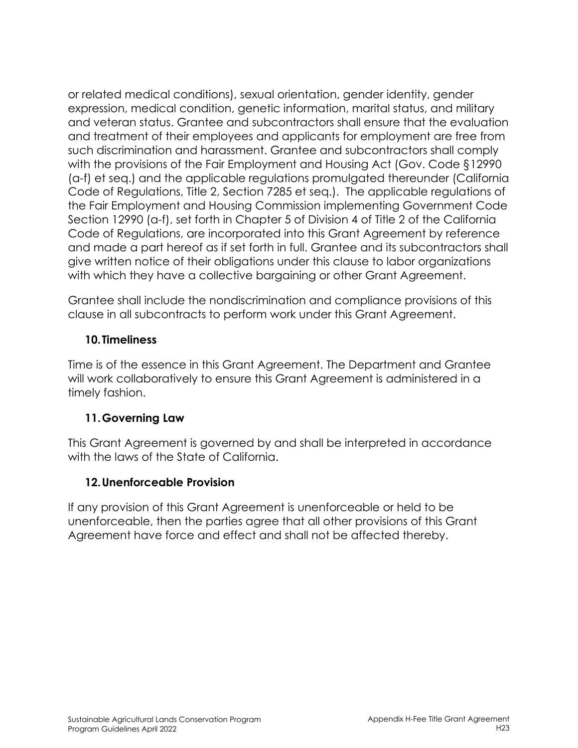or related medical conditions), sexual orientation, gender identity, gender expression, medical condition, genetic information, marital status, and military and veteran status. Grantee and subcontractors shall ensure that the evaluation and treatment of their employees and applicants for employment are free from such discrimination and harassment. Grantee and subcontractors shall comply with the provisions of the Fair Employment and Housing Act (Gov. Code §12990 (a-f) et seq.) and the applicable regulations promulgated thereunder (California Code of Regulations, Title 2, Section 7285 et seq.). The applicable regulations of the Fair Employment and Housing Commission implementing Government Code Section 12990 (a-f), set forth in Chapter 5 of Division 4 of Title 2 of the California Code of Regulations, are incorporated into this Grant Agreement by reference and made a part hereof as if set forth in full. Grantee and its subcontractors shall give written notice of their obligations under this clause to labor organizations with which they have a collective bargaining or other Grant Agreement.

Grantee shall include the nondiscrimination and compliance provisions of this clause in all subcontracts to perform work under this Grant Agreement.

### **10.Timeliness**

Time is of the essence in this Grant Agreement. The Department and Grantee will work collaboratively to ensure this Grant Agreement is administered in a timely fashion.

### **11.Governing Law**

This Grant Agreement is governed by and shall be interpreted in accordance with the laws of the State of California.

### **12.Unenforceable Provision**

If any provision of this Grant Agreement is unenforceable or held to be unenforceable, then the parties agree that all other provisions of this Grant Agreement have force and effect and shall not be affected thereby.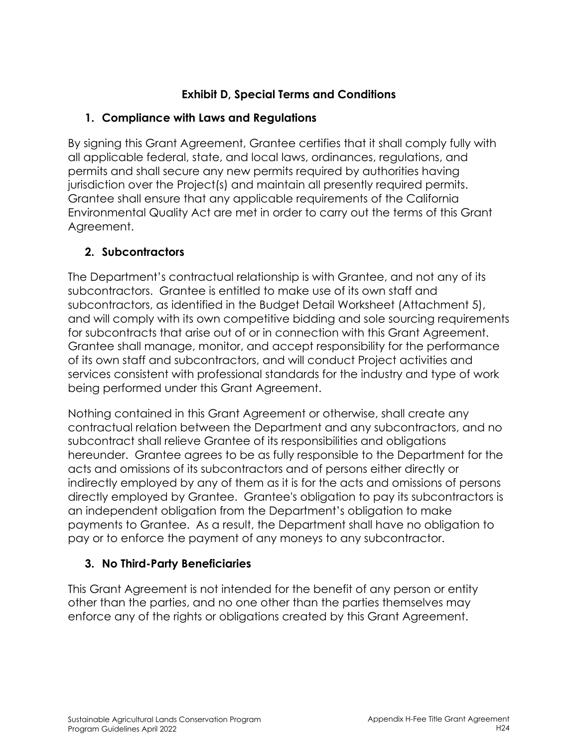## **Exhibit D, Special Terms and Conditions**

## **1. Compliance with Laws and Regulations**

By signing this Grant Agreement, Grantee certifies that it shall comply fully with all applicable federal, state, and local laws, ordinances, regulations, and permits and shall secure any new permits required by authorities having jurisdiction over the Project(s) and maintain all presently required permits. Grantee shall ensure that any applicable requirements of the California Environmental Quality Act are met in order to carry out the terms of this Grant Agreement.

## **2. Subcontractors**

The Department's contractual relationship is with Grantee, and not any of its subcontractors. Grantee is entitled to make use of its own staff and subcontractors, as identified in the Budget Detail Worksheet (Attachment 5), and will comply with its own competitive bidding and sole sourcing requirements for subcontracts that arise out of or in connection with this Grant Agreement. Grantee shall manage, monitor, and accept responsibility for the performance of its own staff and subcontractors, and will conduct Project activities and services consistent with professional standards for the industry and type of work being performed under this Grant Agreement.

Nothing contained in this Grant Agreement or otherwise, shall create any contractual relation between the Department and any subcontractors, and no subcontract shall relieve Grantee of its responsibilities and obligations hereunder. Grantee agrees to be as fully responsible to the Department for the acts and omissions of its subcontractors and of persons either directly or indirectly employed by any of them as it is for the acts and omissions of persons directly employed by Grantee. Grantee's obligation to pay its subcontractors is an independent obligation from the Department's obligation to make payments to Grantee. As a result, the Department shall have no obligation to pay or to enforce the payment of any moneys to any subcontractor.

### **3. No Third-Party Beneficiaries**

This Grant Agreement is not intended for the benefit of any person or entity other than the parties, and no one other than the parties themselves may enforce any of the rights or obligations created by this Grant Agreement.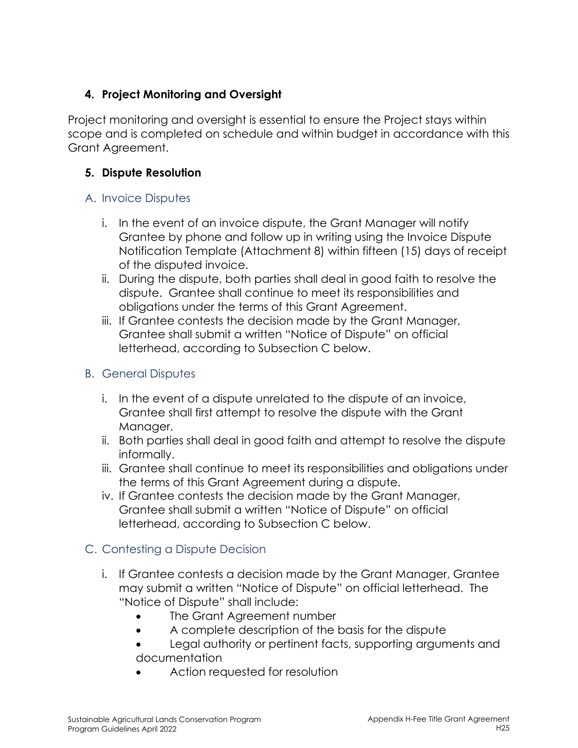## **4. Project Monitoring and Oversight**

Project monitoring and oversight is essential to ensure the Project stays within scope and is completed on schedule and within budget in accordance with this Grant Agreement.

## **5. Dispute Resolution**

### A. Invoice Disputes

- i. In the event of an invoice dispute, the Grant Manager will notify Grantee by phone and follow up in writing using the Invoice Dispute Notification Template (Attachment 8) within fifteen (15) days of receipt of the disputed invoice.
- ii. During the dispute, both parties shall deal in good faith to resolve the dispute. Grantee shall continue to meet its responsibilities and obligations under the terms of this Grant Agreement.
- iii. If Grantee contests the decision made by the Grant Manager, Grantee shall submit a written "Notice of Dispute" on official letterhead, according to Subsection C below.

# B. General Disputes

- i. In the event of a dispute unrelated to the dispute of an invoice, Grantee shall first attempt to resolve the dispute with the Grant Manager.
- ii. Both parties shall deal in good faith and attempt to resolve the dispute informally.
- iii. Grantee shall continue to meet its responsibilities and obligations under the terms of this Grant Agreement during a dispute.
- iv. If Grantee contests the decision made by the Grant Manager, Grantee shall submit a written "Notice of Dispute" on official letterhead, according to Subsection C below.

# C. Contesting a Dispute Decision

- i. If Grantee contests a decision made by the Grant Manager, Grantee may submit a written "Notice of Dispute" on official letterhead. The "Notice of Dispute" shall include:
	- The Grant Agreement number
	- A complete description of the basis for the dispute
	- Legal authority or pertinent facts, supporting arguments and documentation
	- Action requested for resolution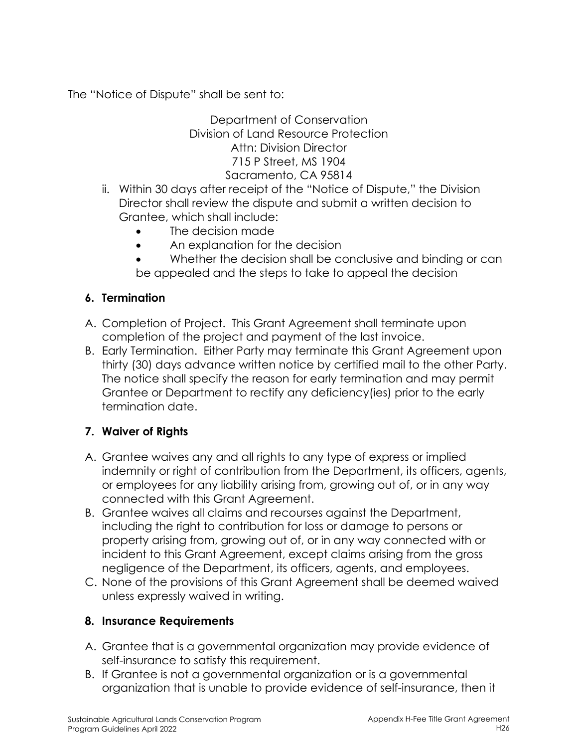The "Notice of Dispute" shall be sent to:

#### Department of Conservation Division of Land Resource Protection Attn: Division Director 715 P Street, MS 1904 Sacramento, CA 95814

- ii. Within 30 days after receipt of the "Notice of Dispute," the Division Director shall review the dispute and submit a written decision to Grantee, which shall include:
	- The decision made
	- An explanation for the decision
	- Whether the decision shall be conclusive and binding or can be appealed and the steps to take to appeal the decision

# **6. Termination**

- A. Completion of Project. This Grant Agreement shall terminate upon completion of the project and payment of the last invoice.
- B. Early Termination. Either Party may terminate this Grant Agreement upon thirty (30) days advance written notice by certified mail to the other Party. The notice shall specify the reason for early termination and may permit Grantee or Department to rectify any deficiency(ies) prior to the early termination date.

# **7. Waiver of Rights**

- A. Grantee waives any and all rights to any type of express or implied indemnity or right of contribution from the Department, its officers, agents, or employees for any liability arising from, growing out of, or in any way connected with this Grant Agreement.
- B. Grantee waives all claims and recourses against the Department, including the right to contribution for loss or damage to persons or property arising from, growing out of, or in any way connected with or incident to this Grant Agreement, except claims arising from the gross negligence of the Department, its officers, agents, and employees.
- C. None of the provisions of this Grant Agreement shall be deemed waived unless expressly waived in writing.

# **8. Insurance Requirements**

- A. Grantee that is a governmental organization may provide evidence of self-insurance to satisfy this requirement.
- B. If Grantee is not a governmental organization or is a governmental organization that is unable to provide evidence of self-insurance, then it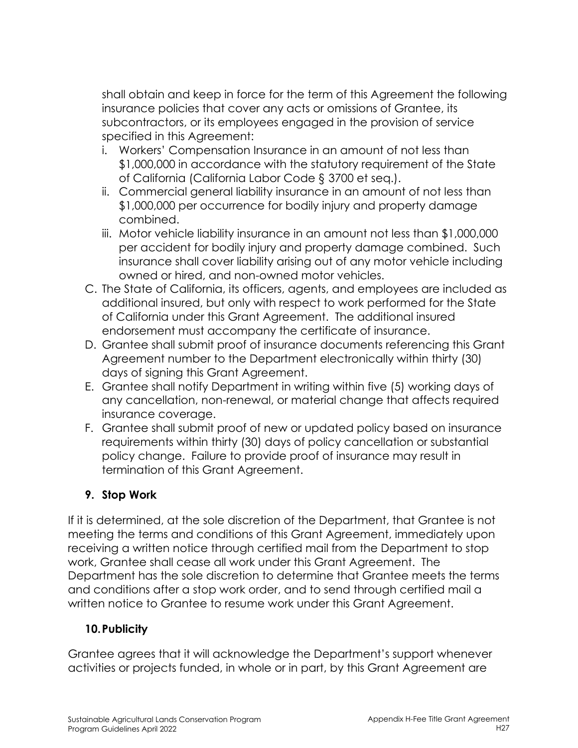shall obtain and keep in force for the term of this Agreement the following insurance policies that cover any acts or omissions of Grantee, its subcontractors, or its employees engaged in the provision of service specified in this Agreement:

- i. Workers' Compensation Insurance in an amount of not less than \$1,000,000 in accordance with the statutory requirement of the State of California (California Labor Code § 3700 et seq.).
- ii. Commercial general liability insurance in an amount of not less than \$1,000,000 per occurrence for bodily injury and property damage combined.
- iii. Motor vehicle liability insurance in an amount not less than \$1,000,000 per accident for bodily injury and property damage combined. Such insurance shall cover liability arising out of any motor vehicle including owned or hired, and non-owned motor vehicles.
- C. The State of California, its officers, agents, and employees are included as additional insured, but only with respect to work performed for the State of California under this Grant Agreement. The additional insured endorsement must accompany the certificate of insurance.
- D. Grantee shall submit proof of insurance documents referencing this Grant Agreement number to the Department electronically within thirty (30) days of signing this Grant Agreement.
- E. Grantee shall notify Department in writing within five (5) working days of any cancellation, non-renewal, or material change that affects required insurance coverage.
- F. Grantee shall submit proof of new or updated policy based on insurance requirements within thirty (30) days of policy cancellation or substantial policy change. Failure to provide proof of insurance may result in termination of this Grant Agreement.

# **9. Stop Work**

If it is determined, at the sole discretion of the Department, that Grantee is not meeting the terms and conditions of this Grant Agreement, immediately upon receiving a written notice through certified mail from the Department to stop work, Grantee shall cease all work under this Grant Agreement. The Department has the sole discretion to determine that Grantee meets the terms and conditions after a stop work order, and to send through certified mail a written notice to Grantee to resume work under this Grant Agreement.

# **10.Publicity**

Grantee agrees that it will acknowledge the Department's support whenever activities or projects funded, in whole or in part, by this Grant Agreement are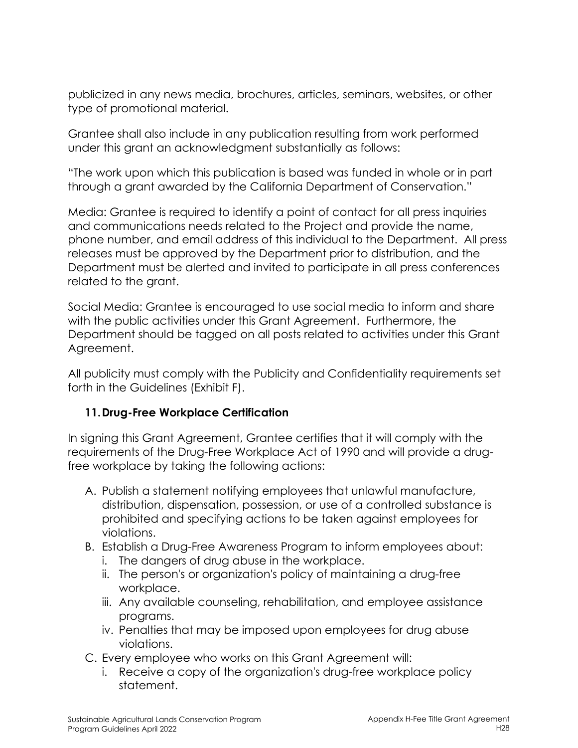publicized in any news media, brochures, articles, seminars, websites, or other type of promotional material.

Grantee shall also include in any publication resulting from work performed under this grant an acknowledgment substantially as follows:

"The work upon which this publication is based was funded in whole or in part through a grant awarded by the California Department of Conservation."

Media: Grantee is required to identify a point of contact for all press inquiries and communications needs related to the Project and provide the name, phone number, and email address of this individual to the Department. All press releases must be approved by the Department prior to distribution, and the Department must be alerted and invited to participate in all press conferences related to the grant.

Social Media: Grantee is encouraged to use social media to inform and share with the public activities under this Grant Agreement. Furthermore, the Department should be tagged on all posts related to activities under this Grant Agreement.

All publicity must comply with the Publicity and Confidentiality requirements set forth in the Guidelines (Exhibit F).

### **11.Drug-Free Workplace Certification**

In signing this Grant Agreement, Grantee certifies that it will comply with the requirements of the Drug-Free Workplace Act of 1990 and will provide a drugfree workplace by taking the following actions:

- A. Publish a statement notifying employees that unlawful manufacture, distribution, dispensation, possession, or use of a controlled substance is prohibited and specifying actions to be taken against employees for violations.
- B. Establish a Drug-Free Awareness Program to inform employees about:
	- i. The dangers of drug abuse in the workplace.
	- ii. The person's or organization's policy of maintaining a drug-free workplace.
	- iii. Any available counseling, rehabilitation, and employee assistance programs.
	- iv. Penalties that may be imposed upon employees for drug abuse violations.
- C. Every employee who works on this Grant Agreement will:
	- i. Receive a copy of the organization's drug-free workplace policy statement.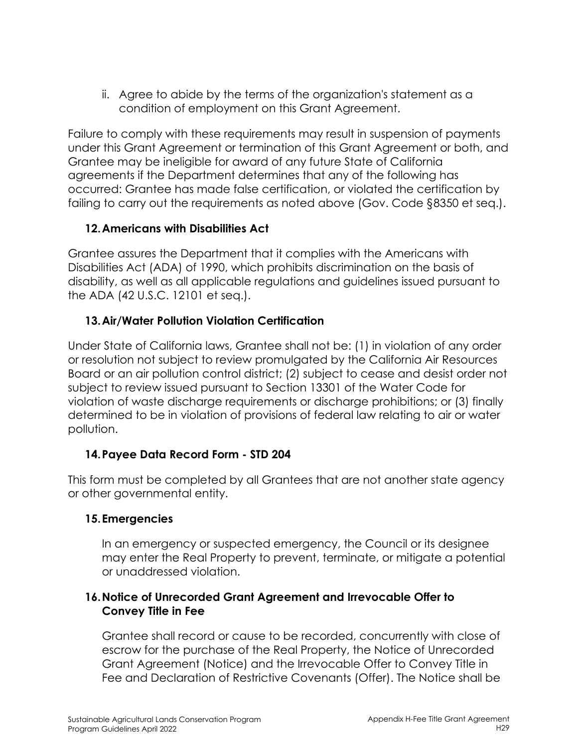ii. Agree to abide by the terms of the organization's statement as a condition of employment on this Grant Agreement.

Failure to comply with these requirements may result in suspension of payments under this Grant Agreement or termination of this Grant Agreement or both, and Grantee may be ineligible for award of any future State of California agreements if the Department determines that any of the following has occurred: Grantee has made false certification, or violated the certification by failing to carry out the requirements as noted above (Gov. Code §8350 et seq.).

### **12.Americans with Disabilities Act**

Grantee assures the Department that it complies with the Americans with Disabilities Act (ADA) of 1990, which prohibits discrimination on the basis of disability, as well as all applicable regulations and guidelines issued pursuant to the ADA (42 U.S.C. 12101 et seq.).

## **13.Air/Water Pollution Violation Certification**

Under State of California laws, Grantee shall not be: (1) in violation of any order or resolution not subject to review promulgated by the California Air Resources Board or an air pollution control district; (2) subject to cease and desist order not subject to review issued pursuant to Section 13301 of the Water Code for violation of waste discharge requirements or discharge prohibitions; or (3) finally determined to be in violation of provisions of federal law relating to air or water pollution.

### **14.Payee Data Record Form - STD 204**

This form must be completed by all Grantees that are not another state agency or other governmental entity.

### **15.Emergencies**

In an emergency or suspected emergency, the Council or its designee may enter the Real Property to prevent, terminate, or mitigate a potential or unaddressed violation.

### **16.Notice of Unrecorded Grant Agreement and Irrevocable Offer to Convey Title in Fee**

Grantee shall record or cause to be recorded, concurrently with close of escrow for the purchase of the Real Property, the Notice of Unrecorded Grant Agreement (Notice) and the Irrevocable Offer to Convey Title in Fee and Declaration of Restrictive Covenants (Offer). The Notice shall be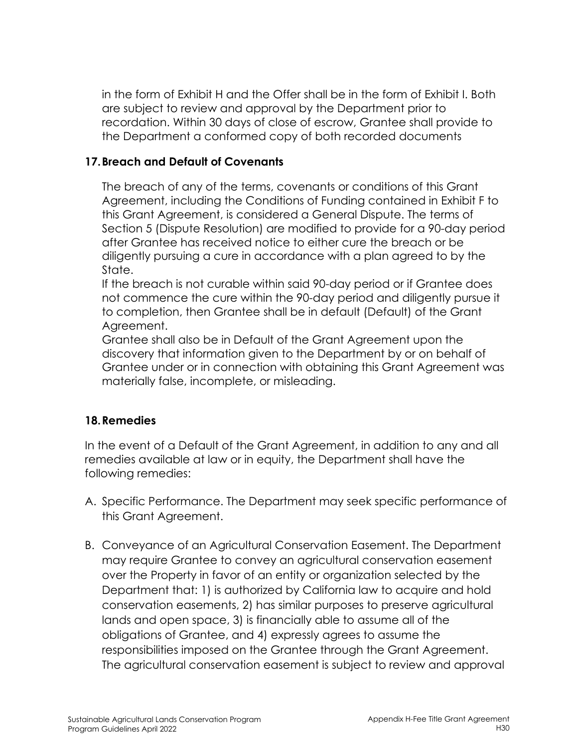in the form of Exhibit H and the Offer shall be in the form of Exhibit I. Both are subject to review and approval by the Department prior to recordation. Within 30 days of close of escrow, Grantee shall provide to the Department a conformed copy of both recorded documents

### **17.Breach and Default of Covenants**

The breach of any of the terms, covenants or conditions of this Grant Agreement, including the Conditions of Funding contained in Exhibit F to this Grant Agreement, is considered a General Dispute. The terms of Section 5 (Dispute Resolution) are modified to provide for a 90-day period after Grantee has received notice to either cure the breach or be diligently pursuing a cure in accordance with a plan agreed to by the State.

If the breach is not curable within said 90-day period or if Grantee does not commence the cure within the 90-day period and diligently pursue it to completion, then Grantee shall be in default (Default) of the Grant Agreement.

Grantee shall also be in Default of the Grant Agreement upon the discovery that information given to the Department by or on behalf of Grantee under or in connection with obtaining this Grant Agreement was materially false, incomplete, or misleading.

### **18.Remedies**

In the event of a Default of the Grant Agreement, in addition to any and all remedies available at law or in equity, the Department shall have the following remedies:

- A. Specific Performance. The Department may seek specific performance of this Grant Agreement.
- B. Conveyance of an Agricultural Conservation Easement. The Department may require Grantee to convey an agricultural conservation easement over the Property in favor of an entity or organization selected by the Department that: 1) is authorized by California law to acquire and hold conservation easements, 2) has similar purposes to preserve agricultural lands and open space, 3) is financially able to assume all of the obligations of Grantee, and 4) expressly agrees to assume the responsibilities imposed on the Grantee through the Grant Agreement. The agricultural conservation easement is subject to review and approval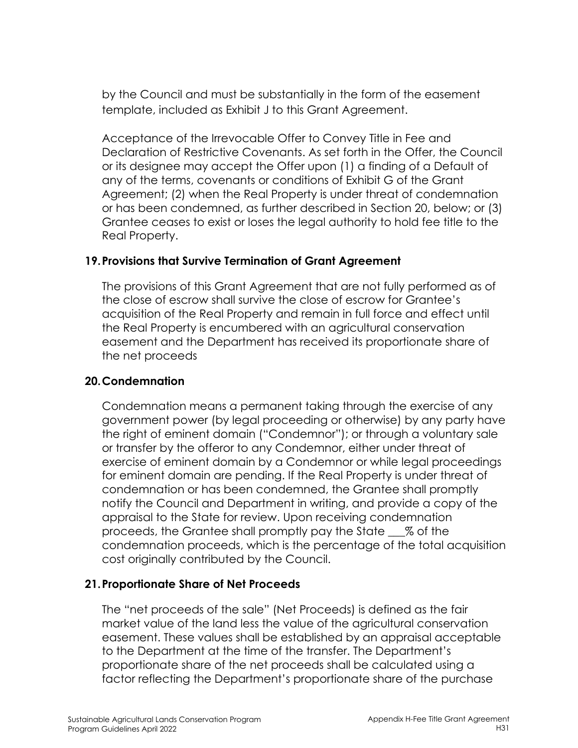by the Council and must be substantially in the form of the easement template, included as Exhibit J to this Grant Agreement.

Acceptance of the Irrevocable Offer to Convey Title in Fee and Declaration of Restrictive Covenants. As set forth in the Offer, the Council or its designee may accept the Offer upon (1) a finding of a Default of any of the terms, covenants or conditions of Exhibit G of the Grant Agreement; (2) when the Real Property is under threat of condemnation or has been condemned, as further described in Section 20, below; or (3) Grantee ceases to exist or loses the legal authority to hold fee title to the Real Property.

#### **19.Provisions that Survive Termination of Grant Agreement**

The provisions of this Grant Agreement that are not fully performed as of the close of escrow shall survive the close of escrow for Grantee's acquisition of the Real Property and remain in full force and effect until the Real Property is encumbered with an agricultural conservation easement and the Department has received its proportionate share of the net proceeds

#### **20.Condemnation**

Condemnation means a permanent taking through the exercise of any government power (by legal proceeding or otherwise) by any party have the right of eminent domain ("Condemnor"); or through a voluntary sale or transfer by the offeror to any Condemnor, either under threat of exercise of eminent domain by a Condemnor or while legal proceedings for eminent domain are pending. If the Real Property is under threat of condemnation or has been condemned, the Grantee shall promptly notify the Council and Department in writing, and provide a copy of the appraisal to the State for review. Upon receiving condemnation proceeds, the Grantee shall promptly pay the State \_\_\_% of the condemnation proceeds, which is the percentage of the total acquisition cost originally contributed by the Council.

### **21.Proportionate Share of Net Proceeds**

The "net proceeds of the sale" (Net Proceeds) is defined as the fair market value of the land less the value of the agricultural conservation easement. These values shall be established by an appraisal acceptable to the Department at the time of the transfer. The Department's proportionate share of the net proceeds shall be calculated using a factor reflecting the Department's proportionate share of the purchase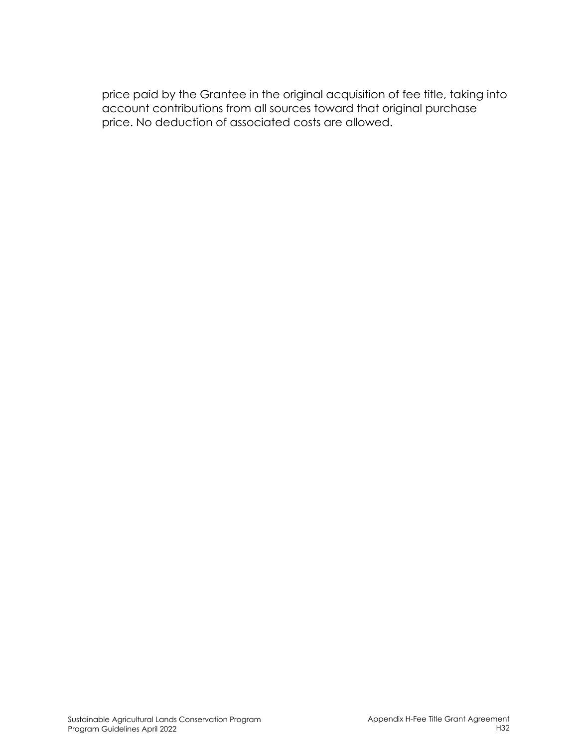price paid by the Grantee in the original acquisition of fee title, taking into account contributions from all sources toward that original purchase price. No deduction of associated costs are allowed.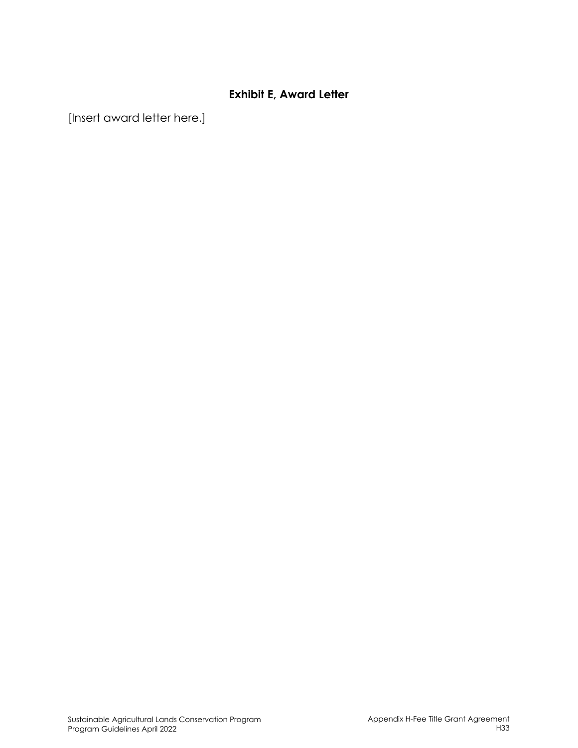#### **Exhibit E, Award Letter**

[Insert award letter here.]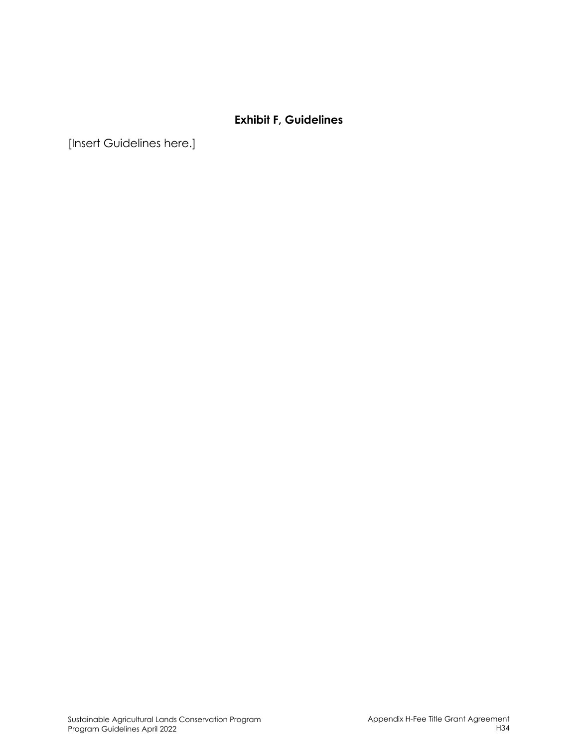## **Exhibit F, Guidelines**

[Insert Guidelines here.]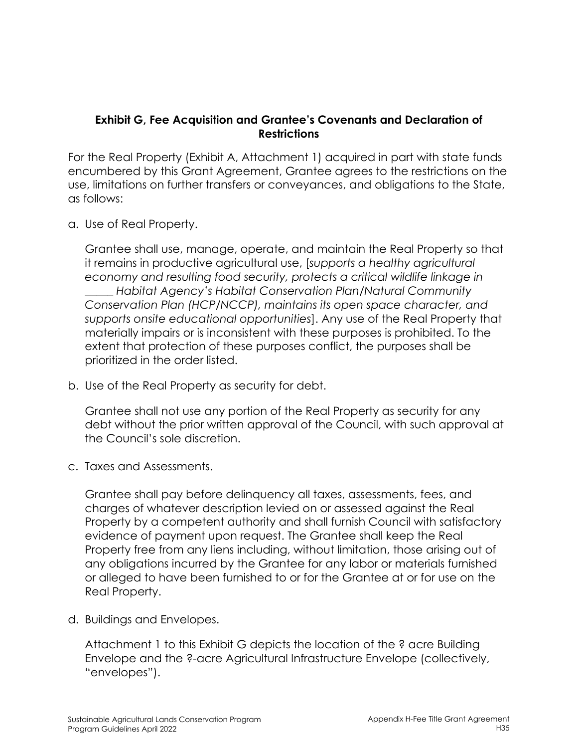#### **Exhibit G, Fee Acquisition and Grantee's Covenants and Declaration of Restrictions**

For the Real Property (Exhibit A, Attachment 1) acquired in part with state funds encumbered by this Grant Agreement, Grantee agrees to the restrictions on the use, limitations on further transfers or conveyances, and obligations to the State, as follows:

a. Use of Real Property.

Grantee shall use, manage, operate, and maintain the Real Property so that it remains in productive agricultural use, [*supports a healthy agricultural economy and resulting food security, protects a critical wildlife linkage in \_\_\_\_\_ Habitat Agency's Habitat Conservation Plan/Natural Community Conservation Plan (HCP/NCCP), maintains its open space character, and supports onsite educational opportunities*]. Any use of the Real Property that materially impairs or is inconsistent with these purposes is prohibited. To the extent that protection of these purposes conflict, the purposes shall be prioritized in the order listed.

b. Use of the Real Property as security for debt.

Grantee shall not use any portion of the Real Property as security for any debt without the prior written approval of the Council, with such approval at the Council's sole discretion.

c. Taxes and Assessments.

Grantee shall pay before delinquency all taxes, assessments, fees, and charges of whatever description levied on or assessed against the Real Property by a competent authority and shall furnish Council with satisfactory evidence of payment upon request. The Grantee shall keep the Real Property free from any liens including, without limitation, those arising out of any obligations incurred by the Grantee for any labor or materials furnished or alleged to have been furnished to or for the Grantee at or for use on the Real Property.

d. Buildings and Envelopes.

Attachment 1 to this Exhibit G depicts the location of the ? acre Building Envelope and the ?-acre Agricultural Infrastructure Envelope (collectively, "envelopes").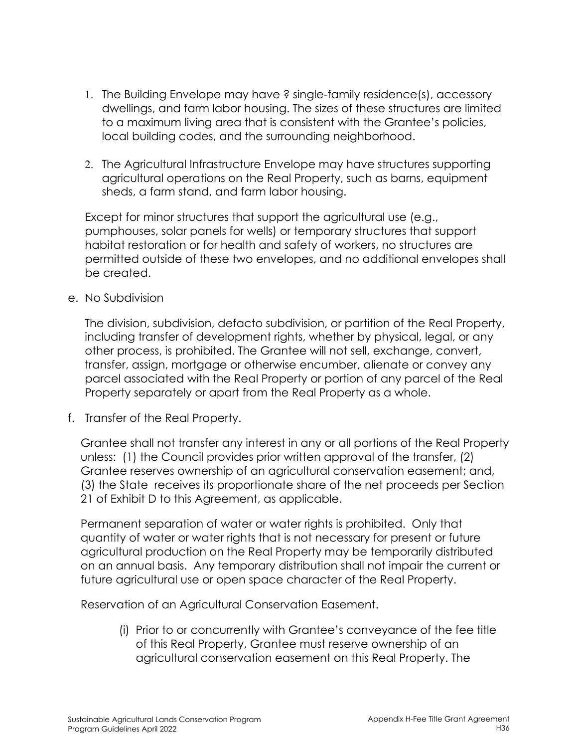- 1. The Building Envelope may have ? single-family residence(s), accessory dwellings, and farm labor housing. The sizes of these structures are limited to a maximum living area that is consistent with the Grantee's policies, local building codes, and the surrounding neighborhood.
- 2. The Agricultural Infrastructure Envelope may have structures supporting agricultural operations on the Real Property, such as barns, equipment sheds, a farm stand, and farm labor housing.

Except for minor structures that support the agricultural use (e.g., pumphouses, solar panels for wells) or temporary structures that support habitat restoration or for health and safety of workers, no structures are permitted outside of these two envelopes, and no additional envelopes shall be created.

e. No Subdivision

The division, subdivision, defacto subdivision, or partition of the Real Property, including transfer of development rights, whether by physical, legal, or any other process, is prohibited. The Grantee will not sell, exchange, convert, transfer, assign, mortgage or otherwise encumber, alienate or convey any parcel associated with the Real Property or portion of any parcel of the Real Property separately or apart from the Real Property as a whole.

f. Transfer of the Real Property.

Grantee shall not transfer any interest in any or all portions of the Real Property unless: (1) the Council provides prior written approval of the transfer, (2) Grantee reserves ownership of an agricultural conservation easement; and, (3) the State receives its proportionate share of the net proceeds per Section 21 of Exhibit D to this Agreement, as applicable.

Permanent separation of water or water rights is prohibited. Only that quantity of water or water rights that is not necessary for present or future agricultural production on the Real Property may be temporarily distributed on an annual basis. Any temporary distribution shall not impair the current or future agricultural use or open space character of the Real Property.

Reservation of an Agricultural Conservation Easement.

(i) Prior to or concurrently with Grantee's conveyance of the fee title of this Real Property, Grantee must reserve ownership of an agricultural conservation easement on this Real Property. The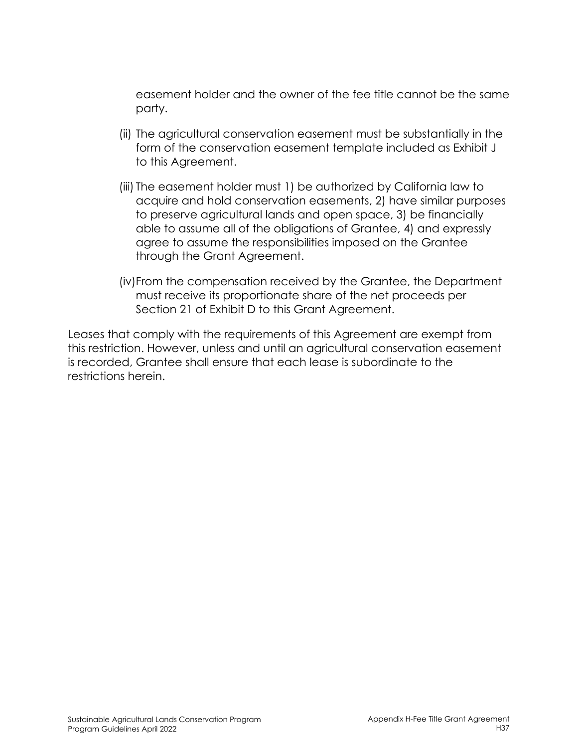easement holder and the owner of the fee title cannot be the same party.

- (ii) The agricultural conservation easement must be substantially in the form of the conservation easement template included as Exhibit J to this Agreement.
- (iii) The easement holder must 1) be authorized by California law to acquire and hold conservation easements, 2) have similar purposes to preserve agricultural lands and open space, 3) be financially able to assume all of the obligations of Grantee, 4) and expressly agree to assume the responsibilities imposed on the Grantee through the Grant Agreement.
- (iv)From the compensation received by the Grantee, the Department must receive its proportionate share of the net proceeds per Section 21 of Exhibit D to this Grant Agreement.

Leases that comply with the requirements of this Agreement are exempt from this restriction. However, unless and until an agricultural conservation easement is recorded, Grantee shall ensure that each lease is subordinate to the restrictions herein.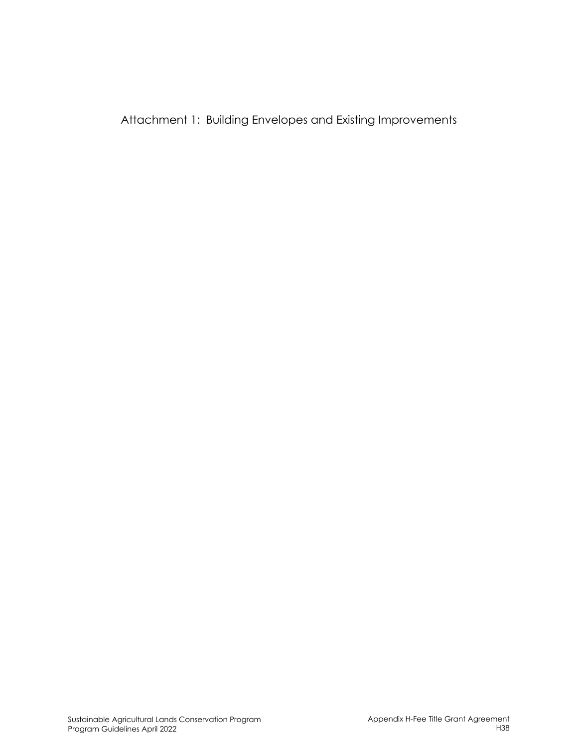Attachment 1: Building Envelopes and Existing Improvements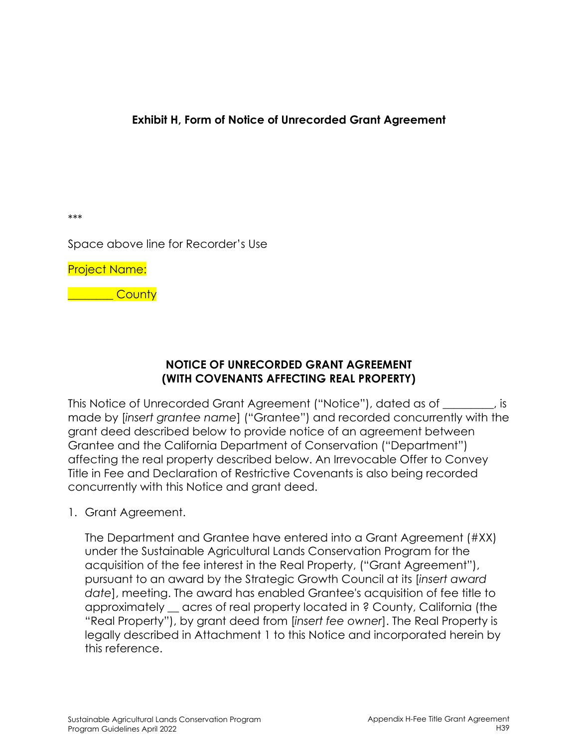**Exhibit H, Form of Notice of Unrecorded Grant Agreement** 

\*\*\*

Space above line for Recorder's Use

Project Name:

\_\_\_\_\_\_\_\_ County

## **NOTICE OF UNRECORDED GRANT AGREEMENT (WITH COVENANTS AFFECTING REAL PROPERTY)**

This Notice of Unrecorded Grant Agreement ("Notice"), dated as of \_\_\_\_\_\_\_\_\_, is made by [*insert grantee name*] ("Grantee") and recorded concurrently with the grant deed described below to provide notice of an agreement between Grantee and the California Department of Conservation ("Department") affecting the real property described below. An Irrevocable Offer to Convey Title in Fee and Declaration of Restrictive Covenants is also being recorded concurrently with this Notice and grant deed.

1. Grant Agreement.

The Department and Grantee have entered into a Grant Agreement (#XX) under the Sustainable Agricultural Lands Conservation Program for the acquisition of the fee interest in the Real Property, ("Grant Agreement"), pursuant to an award by the Strategic Growth Council at its [*insert award date*], meeting. The award has enabled Grantee's acquisition of fee title to approximately \_\_ acres of real property located in ? County, California (the "Real Property"), by grant deed from [*insert fee owner*]. The Real Property is legally described in Attachment 1 to this Notice and incorporated herein by this reference.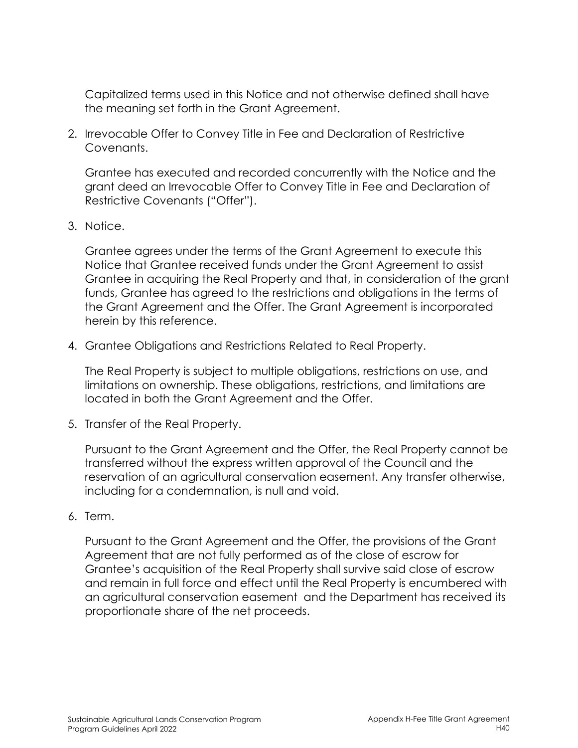Capitalized terms used in this Notice and not otherwise defined shall have the meaning set forth in the Grant Agreement.

2. Irrevocable Offer to Convey Title in Fee and Declaration of Restrictive Covenants.

Grantee has executed and recorded concurrently with the Notice and the grant deed an Irrevocable Offer to Convey Title in Fee and Declaration of Restrictive Covenants ("Offer").

3. Notice.

Grantee agrees under the terms of the Grant Agreement to execute this Notice that Grantee received funds under the Grant Agreement to assist Grantee in acquiring the Real Property and that, in consideration of the grant funds, Grantee has agreed to the restrictions and obligations in the terms of the Grant Agreement and the Offer. The Grant Agreement is incorporated herein by this reference.

4. Grantee Obligations and Restrictions Related to Real Property.

The Real Property is subject to multiple obligations, restrictions on use, and limitations on ownership. These obligations, restrictions, and limitations are located in both the Grant Agreement and the Offer.

5. Transfer of the Real Property.

Pursuant to the Grant Agreement and the Offer, the Real Property cannot be transferred without the express written approval of the Council and the reservation of an agricultural conservation easement. Any transfer otherwise, including for a condemnation, is null and void.

6. Term.

Pursuant to the Grant Agreement and the Offer, the provisions of the Grant Agreement that are not fully performed as of the close of escrow for Grantee's acquisition of the Real Property shall survive said close of escrow and remain in full force and effect until the Real Property is encumbered with an agricultural conservation easement and the Department has received its proportionate share of the net proceeds.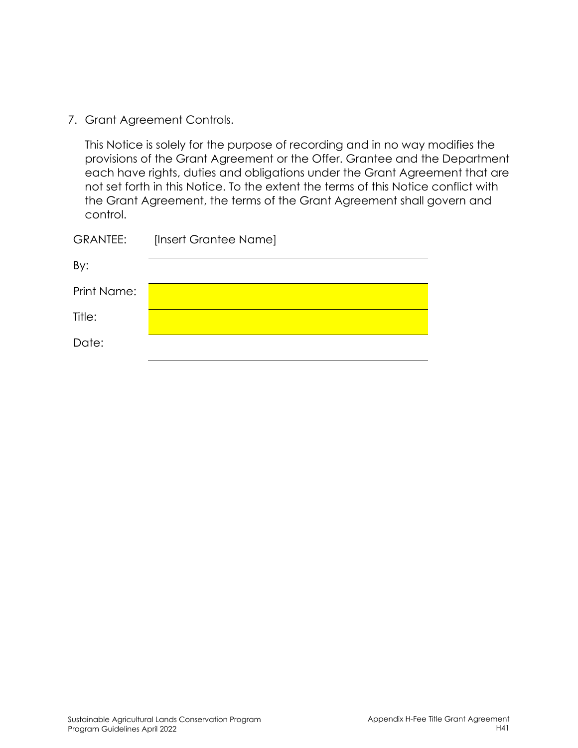7. Grant Agreement Controls.

This Notice is solely for the purpose of recording and in no way modifies the provisions of the Grant Agreement or the Offer. Grantee and the Department each have rights, duties and obligations under the Grant Agreement that are not set forth in this Notice. To the extent the terms of this Notice conflict with the Grant Agreement, the terms of the Grant Agreement shall govern and control.

| <b>GRANTEE:</b> | [Insert Grantee Name] |
|-----------------|-----------------------|
| By:             |                       |
| Print Name:     |                       |
| Title:          |                       |
| Date:           |                       |
|                 |                       |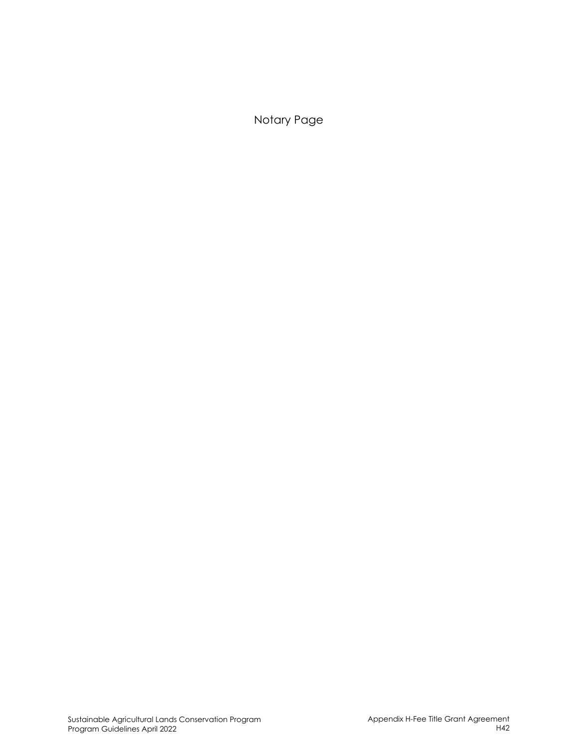Notary Page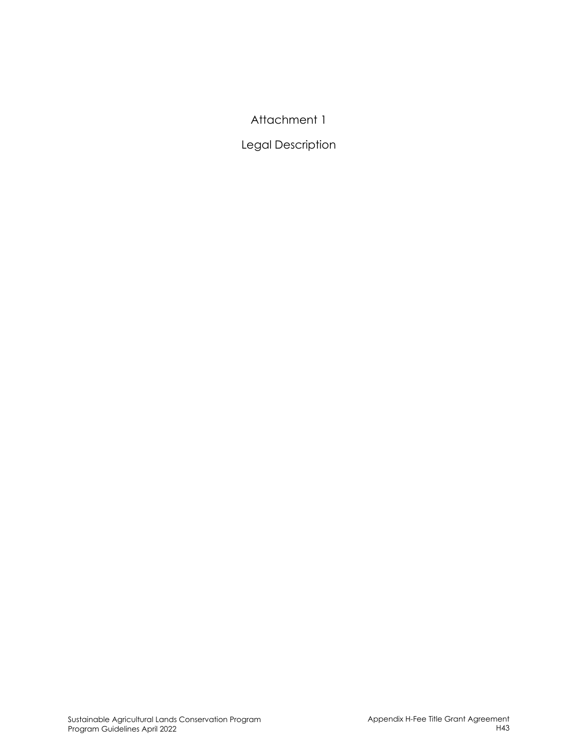# Attachment 1

# Legal Description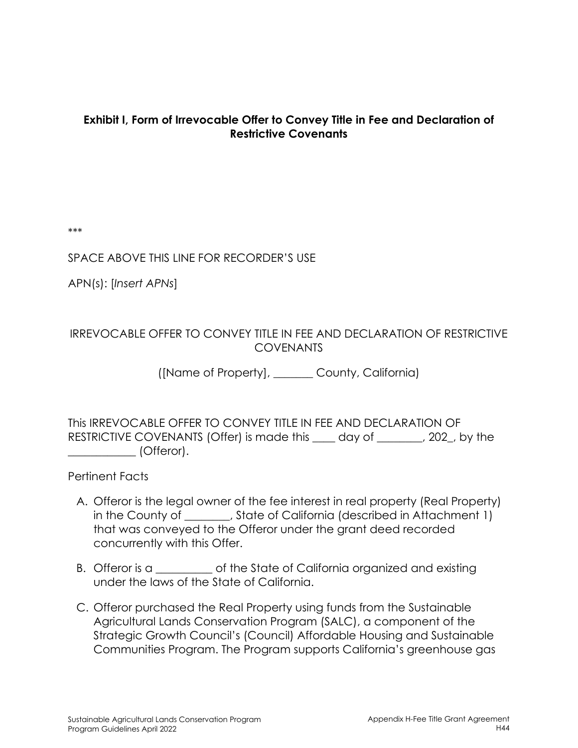#### **Exhibit I, Form of Irrevocable Offer to Convey Title in Fee and Declaration of Restrictive Covenants**

\*\*\*

#### SPACE ABOVE THIS LINE FOR RECORDER'S USE

APN(s): [*Insert APNs*]

#### IRREVOCABLE OFFER TO CONVEY TITLE IN FEE AND DECLARATION OF RESTRICTIVE COVENANTS

([Name of Property], \_\_\_\_\_\_\_ County, California)

This IRREVOCABLE OFFER TO CONVEY TITLE IN FEE AND DECLARATION OF RESTRICTIVE COVENANTS (Offer) is made this day of the the section of the section of the RESTRICTIVE COVENANTS \_\_\_\_\_\_\_\_\_\_\_\_ (Offeror).

Pertinent Facts

- A. Offeror is the legal owner of the fee interest in real property (Real Property) in the County of \_\_\_\_\_\_, State of California (described in Attachment 1) that was conveyed to the Offeror under the grant deed recorded concurrently with this Offer.
- B. Offeror is a contract the State of California organized and existing under the laws of the State of California.
- C. Offeror purchased the Real Property using funds from the Sustainable Agricultural Lands Conservation Program (SALC), a component of the Strategic Growth Council's (Council) Affordable Housing and Sustainable Communities Program. The Program supports California's greenhouse gas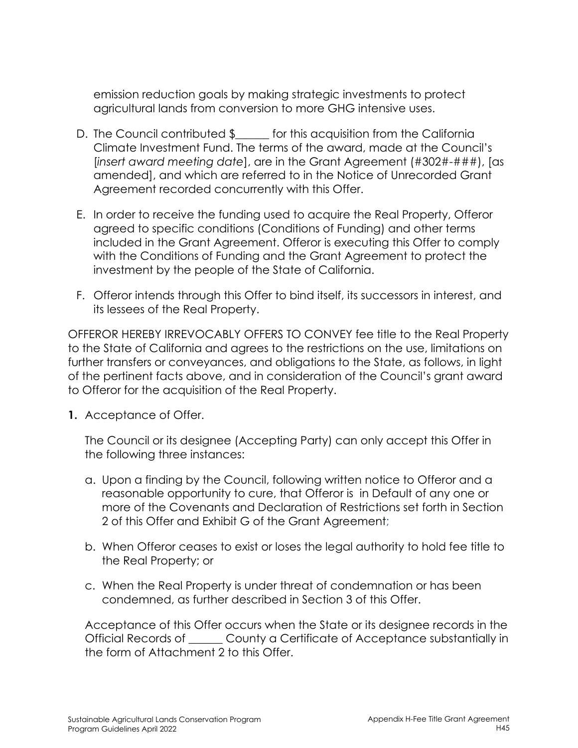emission reduction goals by making strategic investments to protect agricultural lands from conversion to more GHG intensive uses.

- D. The Council contributed \$ for this acquisition from the California Climate Investment Fund. The terms of the award, made at the Council's [*insert award meeting date*], are in the Grant Agreement (#302#-###), [as amended], and which are referred to in the Notice of Unrecorded Grant Agreement recorded concurrently with this Offer.
- E. In order to receive the funding used to acquire the Real Property, Offeror agreed to specific conditions (Conditions of Funding) and other terms included in the Grant Agreement. Offeror is executing this Offer to comply with the Conditions of Funding and the Grant Agreement to protect the investment by the people of the State of California.
- F. Offeror intends through this Offer to bind itself, its successors in interest, and its lessees of the Real Property.

OFFEROR HEREBY IRREVOCABLY OFFERS TO CONVEY fee title to the Real Property to the State of California and agrees to the restrictions on the use, limitations on further transfers or conveyances, and obligations to the State, as follows, in light of the pertinent facts above, and in consideration of the Council's grant award to Offeror for the acquisition of the Real Property.

**1.** Acceptance of Offer.

The Council or its designee (Accepting Party) can only accept this Offer in the following three instances:

- a. Upon a finding by the Council, following written notice to Offeror and a reasonable opportunity to cure, that Offeror is in Default of any one or more of the Covenants and Declaration of Restrictions set forth in Section 2 of this Offer and Exhibit G of the Grant Agreement;
- b. When Offeror ceases to exist or loses the legal authority to hold fee title to the Real Property; or
- c. When the Real Property is under threat of condemnation or has been condemned, as further described in Section 3 of this Offer.

Acceptance of this Offer occurs when the State or its designee records in the Official Records of \_\_\_\_\_\_ County a Certificate of Acceptance substantially in the form of Attachment 2 to this Offer.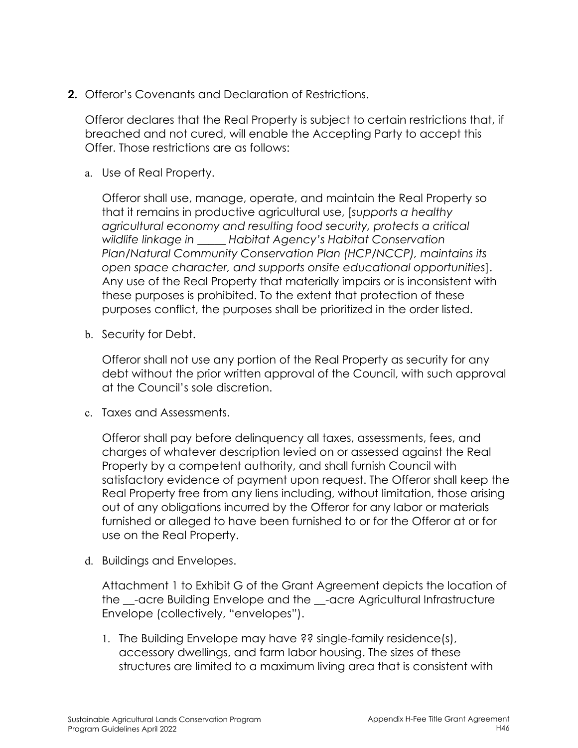**2.** Offeror's Covenants and Declaration of Restrictions.

Offeror declares that the Real Property is subject to certain restrictions that, if breached and not cured, will enable the Accepting Party to accept this Offer. Those restrictions are as follows:

a. Use of Real Property.

Offeror shall use, manage, operate, and maintain the Real Property so that it remains in productive agricultural use, [*supports a healthy agricultural economy and resulting food security, protects a critical wildlife linkage in \_\_\_\_\_ Habitat Agency's Habitat Conservation Plan/Natural Community Conservation Plan (HCP/NCCP), maintains its open space character, and supports onsite educational opportunities*]. Any use of the Real Property that materially impairs or is inconsistent with these purposes is prohibited. To the extent that protection of these purposes conflict, the purposes shall be prioritized in the order listed.

b. Security for Debt.

Offeror shall not use any portion of the Real Property as security for any debt without the prior written approval of the Council, with such approval at the Council's sole discretion.

c. Taxes and Assessments.

Offeror shall pay before delinquency all taxes, assessments, fees, and charges of whatever description levied on or assessed against the Real Property by a competent authority, and shall furnish Council with satisfactory evidence of payment upon request. The Offeror shall keep the Real Property free from any liens including, without limitation, those arising out of any obligations incurred by the Offeror for any labor or materials furnished or alleged to have been furnished to or for the Offeror at or for use on the Real Property.

d. Buildings and Envelopes.

Attachment 1 to Exhibit G of the Grant Agreement depicts the location of the -acre Building Envelope and the -acre Agricultural Infrastructure Envelope (collectively, "envelopes").

1. The Building Envelope may have ?? single-family residence(s), accessory dwellings, and farm labor housing. The sizes of these structures are limited to a maximum living area that is consistent with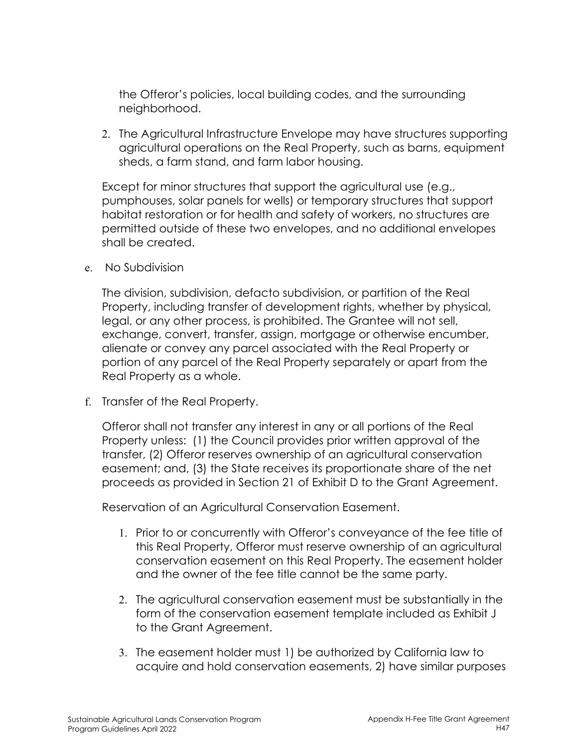the Offeror's policies, local building codes, and the surrounding neighborhood.

2. The Agricultural Infrastructure Envelope may have structures supporting agricultural operations on the Real Property, such as barns, equipment sheds, a farm stand, and farm labor housing.

Except for minor structures that support the agricultural use (e.g., pumphouses, solar panels for wells) or temporary structures that support habitat restoration or for health and safety of workers, no structures are permitted outside of these two envelopes, and no additional envelopes shall be created.

e. No Subdivision

The division, subdivision, defacto subdivision, or partition of the Real Property, including transfer of development rights, whether by physical, legal, or any other process, is prohibited. The Grantee will not sell, exchange, convert, transfer, assign, mortgage or otherwise encumber, alienate or convey any parcel associated with the Real Property or portion of any parcel of the Real Property separately or apart from the Real Property as a whole.

f. Transfer of the Real Property.

Offeror shall not transfer any interest in any or all portions of the Real Property unless: (1) the Council provides prior written approval of the transfer, (2) Offeror reserves ownership of an agricultural conservation easement; and, (3) the State receives its proportionate share of the net proceeds as provided in Section 21 of Exhibit D to the Grant Agreement.

Reservation of an Agricultural Conservation Easement.

- 1. Prior to or concurrently with Offeror's conveyance of the fee title of this Real Property, Offeror must reserve ownership of an agricultural conservation easement on this Real Property. The easement holder and the owner of the fee title cannot be the same party.
- 2. The agricultural conservation easement must be substantially in the form of the conservation easement template included as Exhibit J to the Grant Agreement.
- 3. The easement holder must 1) be authorized by California law to acquire and hold conservation easements, 2) have similar purposes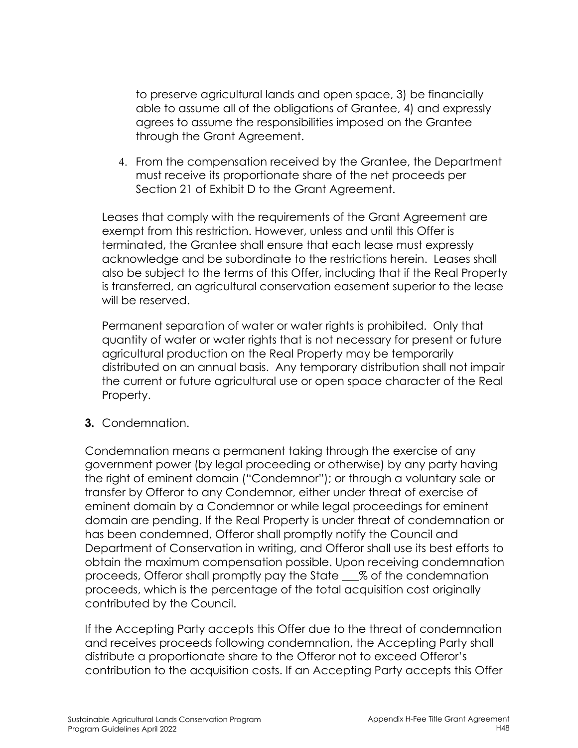to preserve agricultural lands and open space, 3) be financially able to assume all of the obligations of Grantee, 4) and expressly agrees to assume the responsibilities imposed on the Grantee through the Grant Agreement.

4. From the compensation received by the Grantee, the Department must receive its proportionate share of the net proceeds per Section 21 of Exhibit D to the Grant Agreement.

Leases that comply with the requirements of the Grant Agreement are exempt from this restriction. However, unless and until this Offer is terminated, the Grantee shall ensure that each lease must expressly acknowledge and be subordinate to the restrictions herein. Leases shall also be subject to the terms of this Offer, including that if the Real Property is transferred, an agricultural conservation easement superior to the lease will be reserved.

Permanent separation of water or water rights is prohibited. Only that quantity of water or water rights that is not necessary for present or future agricultural production on the Real Property may be temporarily distributed on an annual basis. Any temporary distribution shall not impair the current or future agricultural use or open space character of the Real Property.

**3.** Condemnation.

Condemnation means a permanent taking through the exercise of any government power (by legal proceeding or otherwise) by any party having the right of eminent domain ("Condemnor"); or through a voluntary sale or transfer by Offeror to any Condemnor, either under threat of exercise of eminent domain by a Condemnor or while legal proceedings for eminent domain are pending. If the Real Property is under threat of condemnation or has been condemned, Offeror shall promptly notify the Council and Department of Conservation in writing, and Offeror shall use its best efforts to obtain the maximum compensation possible. Upon receiving condemnation proceeds, Offeror shall promptly pay the State \_\_\_% of the condemnation proceeds, which is the percentage of the total acquisition cost originally contributed by the Council.

If the Accepting Party accepts this Offer due to the threat of condemnation and receives proceeds following condemnation, the Accepting Party shall distribute a proportionate share to the Offeror not to exceed Offeror's contribution to the acquisition costs. If an Accepting Party accepts this Offer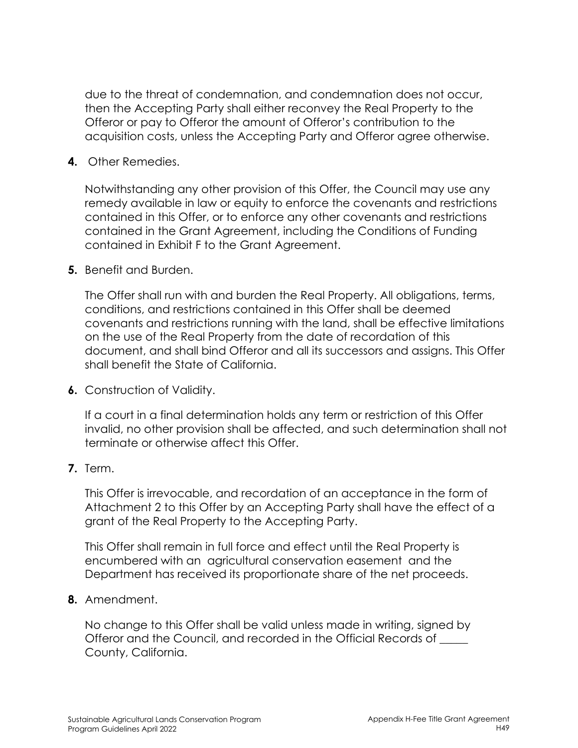due to the threat of condemnation, and condemnation does not occur, then the Accepting Party shall either reconvey the Real Property to the Offeror or pay to Offeror the amount of Offeror's contribution to the acquisition costs, unless the Accepting Party and Offeror agree otherwise.

#### **4.** Other Remedies.

Notwithstanding any other provision of this Offer, the Council may use any remedy available in law or equity to enforce the covenants and restrictions contained in this Offer, or to enforce any other covenants and restrictions contained in the Grant Agreement, including the Conditions of Funding contained in Exhibit F to the Grant Agreement.

#### **5.** Benefit and Burden.

The Offer shall run with and burden the Real Property. All obligations, terms, conditions, and restrictions contained in this Offer shall be deemed covenants and restrictions running with the land, shall be effective limitations on the use of the Real Property from the date of recordation of this document, and shall bind Offeror and all its successors and assigns. This Offer shall benefit the State of California.

**6.** Construction of Validity.

If a court in a final determination holds any term or restriction of this Offer invalid, no other provision shall be affected, and such determination shall not terminate or otherwise affect this Offer.

#### **7.** Term.

This Offer is irrevocable, and recordation of an acceptance in the form of Attachment 2 to this Offer by an Accepting Party shall have the effect of a grant of the Real Property to the Accepting Party.

This Offer shall remain in full force and effect until the Real Property is encumbered with an agricultural conservation easement and the Department has received its proportionate share of the net proceeds.

#### **8.** Amendment.

No change to this Offer shall be valid unless made in writing, signed by Offeror and the Council, and recorded in the Official Records of \_\_\_\_\_ County, California.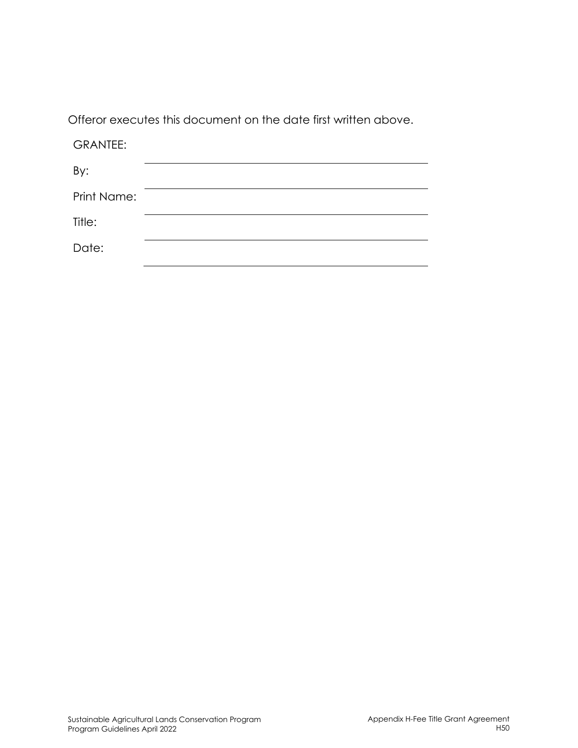Offeror executes this document on the date first written above.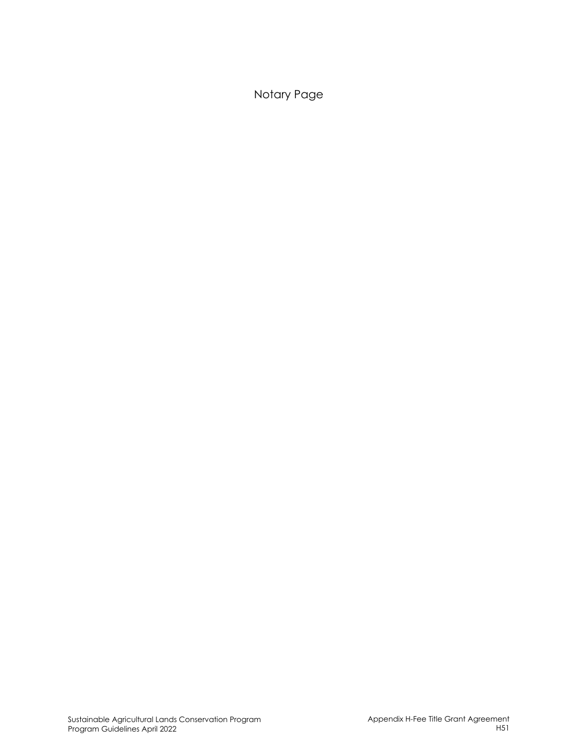Notary Page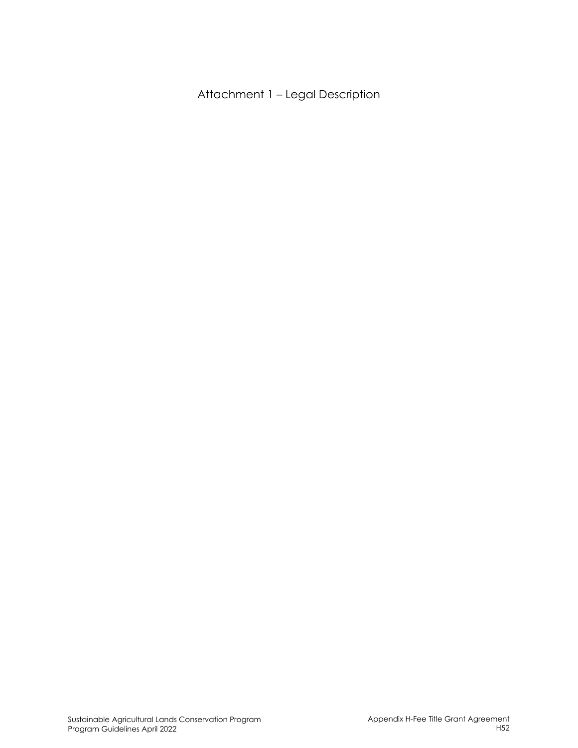Attachment 1 – Legal Description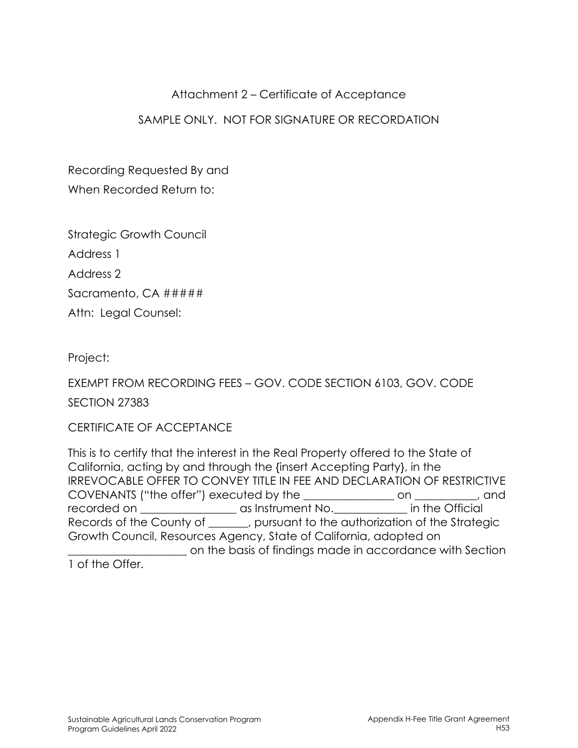### Attachment 2 – Certificate of Acceptance

## SAMPLE ONLY. NOT FOR SIGNATURE OR RECORDATION

Recording Requested By and When Recorded Return to:

Strategic Growth Council Address 1 Address 2 Sacramento, CA #####

Attn: Legal Counsel:

Project:

EXEMPT FROM RECORDING FEES – GOV. CODE SECTION 6103, GOV. CODE

SECTION 27383

CERTIFICATE OF ACCEPTANCE

This is to certify that the interest in the Real Property offered to the State of California, acting by and through the {insert Accepting Party}, in the IRREVOCABLE OFFER TO CONVEY TITLE IN FEE AND DECLARATION OF RESTRICTIVE COVENANTS ("the offer") executed by the \_\_\_\_\_\_\_\_\_\_\_\_\_\_\_\_ on \_\_\_\_\_\_\_\_\_\_\_, and recorded on \_\_\_\_\_\_\_\_\_\_\_\_\_\_\_\_\_ as Instrument No.\_\_\_\_\_\_\_\_\_\_\_\_\_ in the Official Records of the County of \_\_\_\_\_, pursuant to the authorization of the Strategic Growth Council, Resources Agency, State of California, adopted on \_\_\_\_\_\_\_\_\_\_\_\_\_\_\_\_\_\_\_\_\_ on the basis of findings made in accordance with Section 1 of the Offer.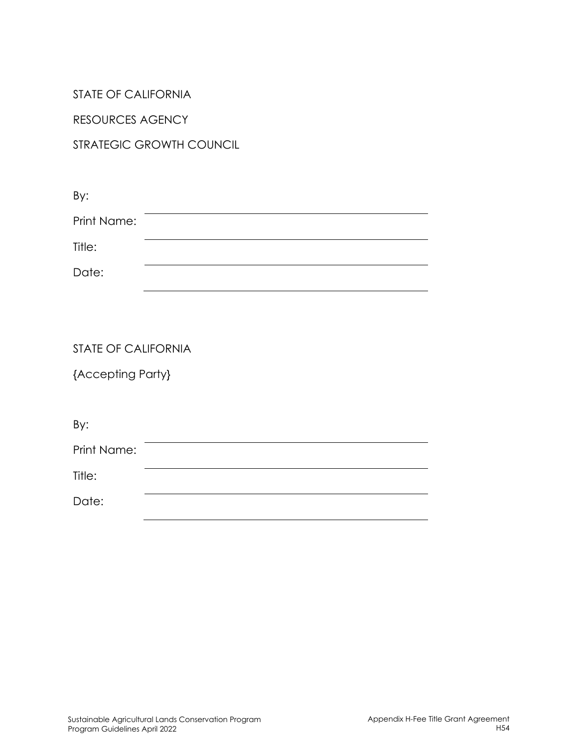#### STATE OF CALIFORNIA

RESOURCES AGENCY

# STRATEGIC GROWTH COUNCIL

| By:         |  |  |
|-------------|--|--|
| Print Name: |  |  |
| Title:      |  |  |
| Date:       |  |  |
|             |  |  |

#### STATE OF CALIFORNIA

{Accepting Party}

| By:         |  |  |
|-------------|--|--|
| Print Name: |  |  |
| Title:      |  |  |
| Date:       |  |  |